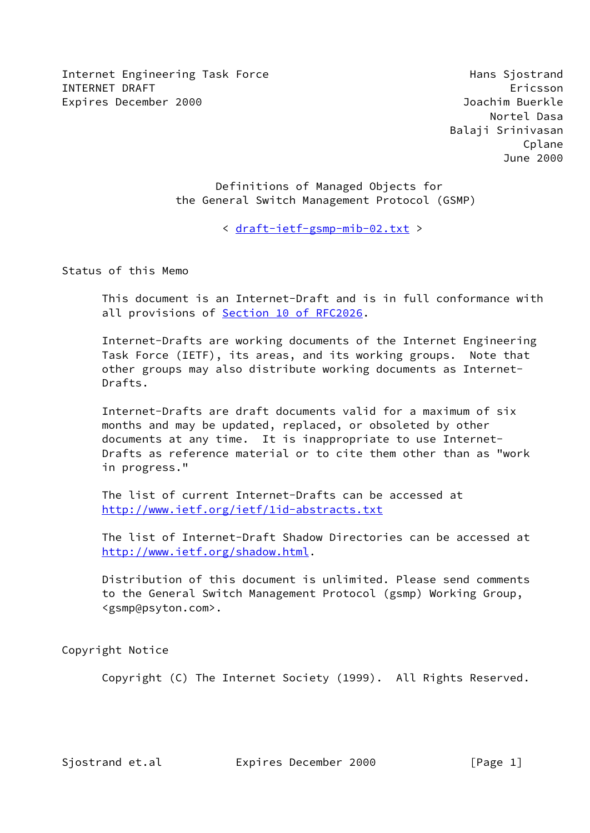Internet Engineering Task Force **Hans Similar State Hans Sipstrand** INTERNET DRAFT Ericsson Expires December 2000 Joachim Buerkle

 Definitions of Managed Objects for the General Switch Management Protocol (GSMP)

< [draft-ietf-gsmp-mib-02.txt](https://datatracker.ietf.org/doc/pdf/draft-ietf-gsmp-mib-02.txt) >

Status of this Memo

 This document is an Internet-Draft and is in full conformance with all provisions of **Section [10 of RFC2026](https://datatracker.ietf.org/doc/pdf/rfc2026#section-10)**.

 Internet-Drafts are working documents of the Internet Engineering Task Force (IETF), its areas, and its working groups. Note that other groups may also distribute working documents as Internet- Drafts.

 Internet-Drafts are draft documents valid for a maximum of six months and may be updated, replaced, or obsoleted by other documents at any time. It is inappropriate to use Internet- Drafts as reference material or to cite them other than as "work in progress."

 The list of current Internet-Drafts can be accessed at <http://www.ietf.org/ietf/1id-abstracts.txt>

 The list of Internet-Draft Shadow Directories can be accessed at <http://www.ietf.org/shadow.html>.

 Distribution of this document is unlimited. Please send comments to the General Switch Management Protocol (gsmp) Working Group, <gsmp@psyton.com>.

Copyright Notice

Copyright (C) The Internet Society (1999). All Rights Reserved.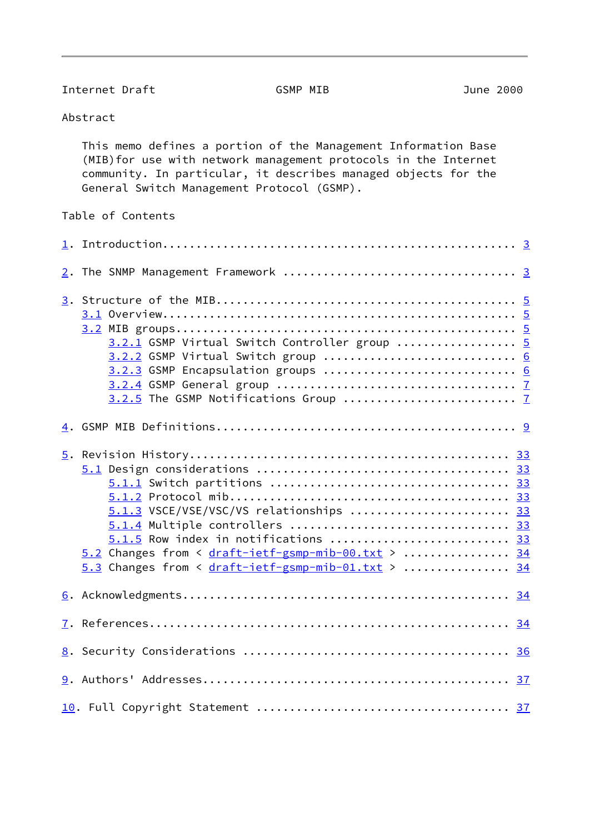Internet Draft GSMP MIB GSMP MIB

Abstract

 This memo defines a portion of the Management Information Base (MIB)for use with network management protocols in the Internet community. In particular, it describes managed objects for the General Switch Management Protocol (GSMP).

Table of Contents

| 3.2.1 GSMP Virtual Switch Controller group  5<br>3.2.2 GSMP Virtual Switch group  6<br>3.2.3 GSMP Encapsulation groups  6                                                                                                             |  |
|---------------------------------------------------------------------------------------------------------------------------------------------------------------------------------------------------------------------------------------|--|
|                                                                                                                                                                                                                                       |  |
| 5.1.3 VSCE/VSE/VSC/VS relationships  33<br>5.1.4 Multiple controllers  33<br>$5.1.5$ Row index in notifications  33<br>5.2 Changes from < draft-ietf-gsmp-mib-00.txt >  34<br>$5.3$ Changes from < $draff-ietf-gsmp-mib-01.txt$ >  34 |  |
|                                                                                                                                                                                                                                       |  |
|                                                                                                                                                                                                                                       |  |
|                                                                                                                                                                                                                                       |  |
|                                                                                                                                                                                                                                       |  |
|                                                                                                                                                                                                                                       |  |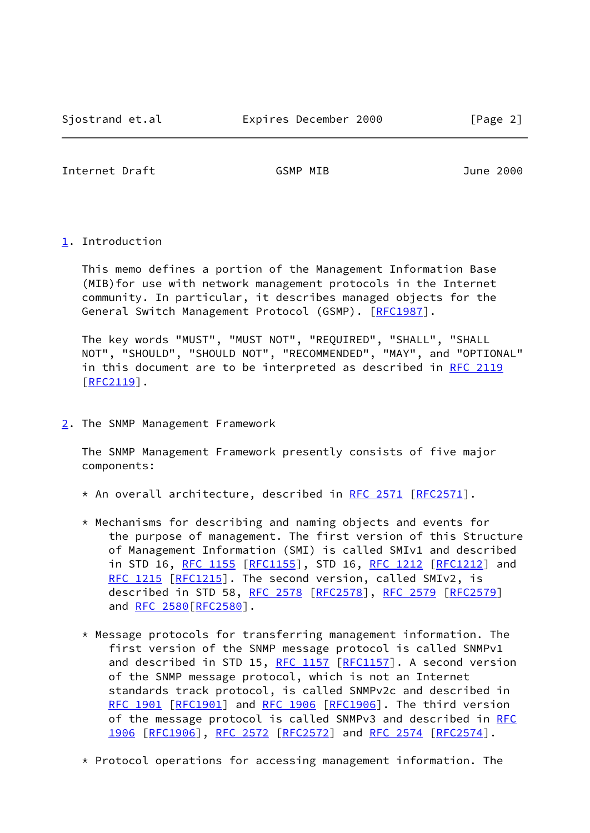<span id="page-2-1"></span>Internet Draft GSMP MIB June 2000

<span id="page-2-0"></span>[1](#page-2-0). Introduction

 This memo defines a portion of the Management Information Base (MIB)for use with network management protocols in the Internet community. In particular, it describes managed objects for the General Switch Management Protocol (GSMP). [[RFC1987\]](https://datatracker.ietf.org/doc/pdf/rfc1987).

 The key words "MUST", "MUST NOT", "REQUIRED", "SHALL", "SHALL NOT", "SHOULD", "SHOULD NOT", "RECOMMENDED", "MAY", and "OPTIONAL" in this document are to be interpreted as described in [RFC 2119](https://datatracker.ietf.org/doc/pdf/rfc2119) [\[RFC2119](https://datatracker.ietf.org/doc/pdf/rfc2119)].

<span id="page-2-2"></span>[2](#page-2-2). The SNMP Management Framework

 The SNMP Management Framework presently consists of five major components:

- \* An overall architecture, described in <u>RFC 2571</u> [\[RFC2571](https://datatracker.ietf.org/doc/pdf/rfc2571)].
- \* Mechanisms for describing and naming objects and events for the purpose of management. The first version of this Structure of Management Information (SMI) is called SMIv1 and described in STD 16, [RFC 1155 \[RFC1155](https://datatracker.ietf.org/doc/pdf/rfc1155)], STD 16, [RFC 1212 \[RFC1212](https://datatracker.ietf.org/doc/pdf/rfc1212)] and [RFC 1215 \[RFC1215](https://datatracker.ietf.org/doc/pdf/rfc1215)]. The second version, called SMIv2, is described in STD 58, [RFC 2578](https://datatracker.ietf.org/doc/pdf/rfc2578) [[RFC2578](https://datatracker.ietf.org/doc/pdf/rfc2578)], [RFC 2579](https://datatracker.ietf.org/doc/pdf/rfc2579) [[RFC2579](https://datatracker.ietf.org/doc/pdf/rfc2579)] and RFC 2580 [RFC2580].
- \* Message protocols for transferring management information. The first version of the SNMP message protocol is called SNMPv1 and described in STD 15, [RFC 1157](https://datatracker.ietf.org/doc/pdf/rfc1157) [[RFC1157](https://datatracker.ietf.org/doc/pdf/rfc1157)]. A second version of the SNMP message protocol, which is not an Internet standards track protocol, is called SNMPv2c and described in [RFC 1901 \[RFC1901](https://datatracker.ietf.org/doc/pdf/rfc1901)] and [RFC 1906 \[RFC1906](https://datatracker.ietf.org/doc/pdf/rfc1906)]. The third version of the message protocol is called SNMPv3 and described in [RFC](https://datatracker.ietf.org/doc/pdf/rfc1906) [1906 \[RFC1906](https://datatracker.ietf.org/doc/pdf/rfc1906)], [RFC 2572 \[RFC2572](https://datatracker.ietf.org/doc/pdf/rfc2572)] and [RFC 2574 \[RFC2574](https://datatracker.ietf.org/doc/pdf/rfc2574)].

\* Protocol operations for accessing management information. The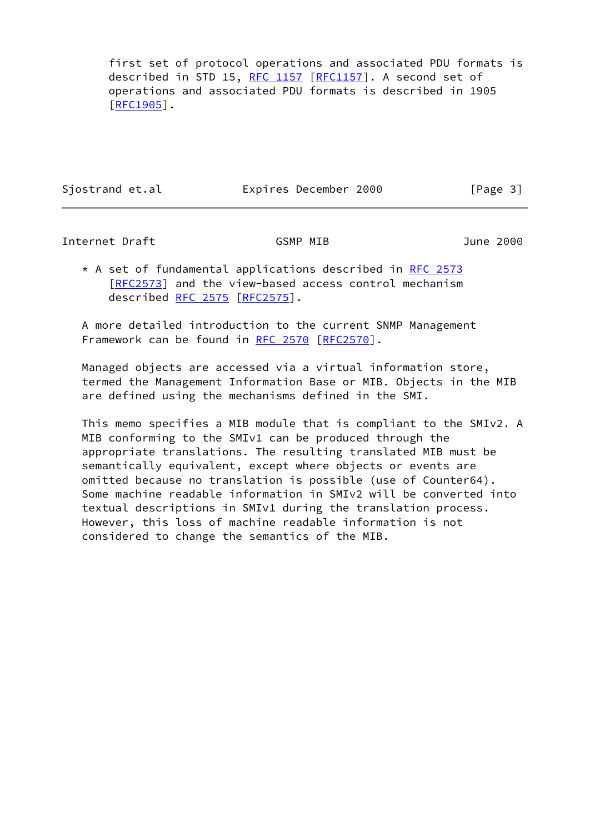first set of protocol operations and associated PDU formats is described in STD 15, [RFC 1157](https://datatracker.ietf.org/doc/pdf/rfc1157) [[RFC1157](https://datatracker.ietf.org/doc/pdf/rfc1157)]. A second set of operations and associated PDU formats is described in 1905 [\[RFC1905](https://datatracker.ietf.org/doc/pdf/rfc1905)].

Sjostrand et.al **Expires December 2000** [Page 3]

Internet Draft GSMP MIB June 2000

\* A set of fundamental applications described in [RFC 2573](https://datatracker.ietf.org/doc/pdf/rfc2573) [\[RFC2573](https://datatracker.ietf.org/doc/pdf/rfc2573)] and the view-based access control mechanism described [RFC 2575](https://datatracker.ietf.org/doc/pdf/rfc2575) [\[RFC2575](https://datatracker.ietf.org/doc/pdf/rfc2575)].

 A more detailed introduction to the current SNMP Management Framework can be found in [RFC 2570](https://datatracker.ietf.org/doc/pdf/rfc2570) [[RFC2570\]](https://datatracker.ietf.org/doc/pdf/rfc2570).

 Managed objects are accessed via a virtual information store, termed the Management Information Base or MIB. Objects in the MIB are defined using the mechanisms defined in the SMI.

 This memo specifies a MIB module that is compliant to the SMIv2. A MIB conforming to the SMIv1 can be produced through the appropriate translations. The resulting translated MIB must be semantically equivalent, except where objects or events are omitted because no translation is possible (use of Counter64). Some machine readable information in SMIv2 will be converted into textual descriptions in SMIv1 during the translation process. However, this loss of machine readable information is not considered to change the semantics of the MIB.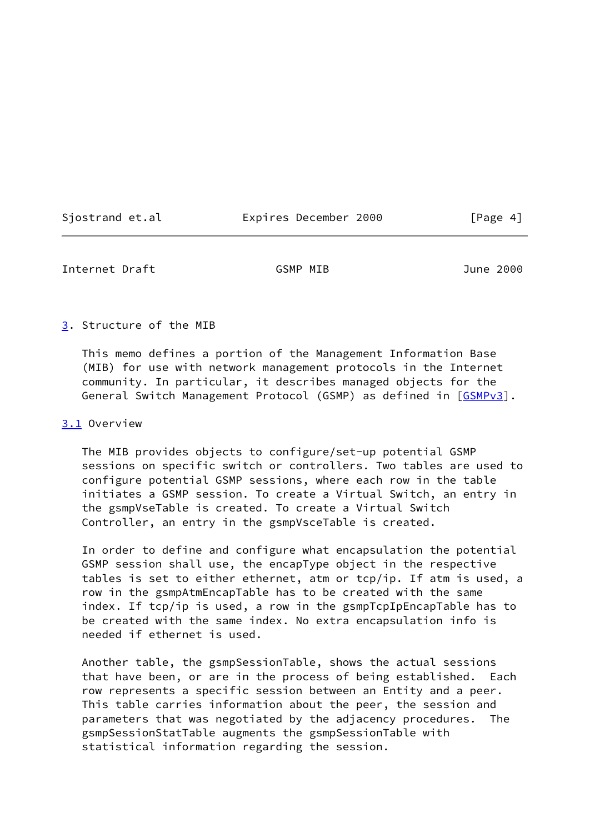| Sjostrand et.al |  |  |  |  |
|-----------------|--|--|--|--|
|                 |  |  |  |  |

Expires December 2000 [Page 4]

<span id="page-4-1"></span>Internet Draft GSMP MIB June 2000

#### <span id="page-4-0"></span>[3](#page-4-0). Structure of the MIB

 This memo defines a portion of the Management Information Base (MIB) for use with network management protocols in the Internet community. In particular, it describes managed objects for the General Switch Management Protocol (GSMP) as defined in [\[GSMPv3](#page-41-1)].

# <span id="page-4-2"></span>[3.1](#page-4-2) Overview

 The MIB provides objects to configure/set-up potential GSMP sessions on specific switch or controllers. Two tables are used to configure potential GSMP sessions, where each row in the table initiates a GSMP session. To create a Virtual Switch, an entry in the gsmpVseTable is created. To create a Virtual Switch Controller, an entry in the gsmpVsceTable is created.

 In order to define and configure what encapsulation the potential GSMP session shall use, the encapType object in the respective tables is set to either ethernet, atm or tcp/ip. If atm is used, a row in the gsmpAtmEncapTable has to be created with the same index. If tcp/ip is used, a row in the gsmpTcpIpEncapTable has to be created with the same index. No extra encapsulation info is needed if ethernet is used.

 Another table, the gsmpSessionTable, shows the actual sessions that have been, or are in the process of being established. Each row represents a specific session between an Entity and a peer. This table carries information about the peer, the session and parameters that was negotiated by the adjacency procedures. The gsmpSessionStatTable augments the gsmpSessionTable with statistical information regarding the session.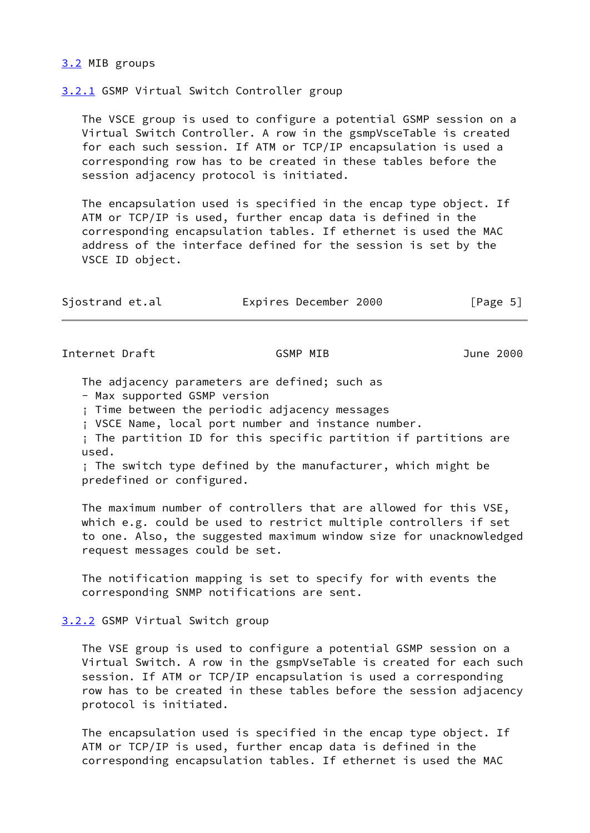# <span id="page-5-0"></span>[3.2](#page-5-0) MIB groups

<span id="page-5-1"></span>[3.2.1](#page-5-1) GSMP Virtual Switch Controller group

 The VSCE group is used to configure a potential GSMP session on a Virtual Switch Controller. A row in the gsmpVsceTable is created for each such session. If ATM or TCP/IP encapsulation is used a corresponding row has to be created in these tables before the session adjacency protocol is initiated.

 The encapsulation used is specified in the encap type object. If ATM or TCP/IP is used, further encap data is defined in the corresponding encapsulation tables. If ethernet is used the MAC address of the interface defined for the session is set by the VSCE ID object.

| Sjostrand et.al | Expires December 2000 | [Page 5] |
|-----------------|-----------------------|----------|
|-----------------|-----------------------|----------|

<span id="page-5-3"></span>Internet Draft GSMP MIB June 2000

The adjacency parameters are defined; such as

- Max supported GSMP version

¡ Time between the periodic adjacency messages

¡ VSCE Name, local port number and instance number.

 ¡ The partition ID for this specific partition if partitions are used.

 ¡ The switch type defined by the manufacturer, which might be predefined or configured.

 The maximum number of controllers that are allowed for this VSE, which e.g. could be used to restrict multiple controllers if set to one. Also, the suggested maximum window size for unacknowledged request messages could be set.

 The notification mapping is set to specify for with events the corresponding SNMP notifications are sent.

<span id="page-5-2"></span>[3.2.2](#page-5-2) GSMP Virtual Switch group

 The VSE group is used to configure a potential GSMP session on a Virtual Switch. A row in the gsmpVseTable is created for each such session. If ATM or TCP/IP encapsulation is used a corresponding row has to be created in these tables before the session adjacency protocol is initiated.

 The encapsulation used is specified in the encap type object. If ATM or TCP/IP is used, further encap data is defined in the corresponding encapsulation tables. If ethernet is used the MAC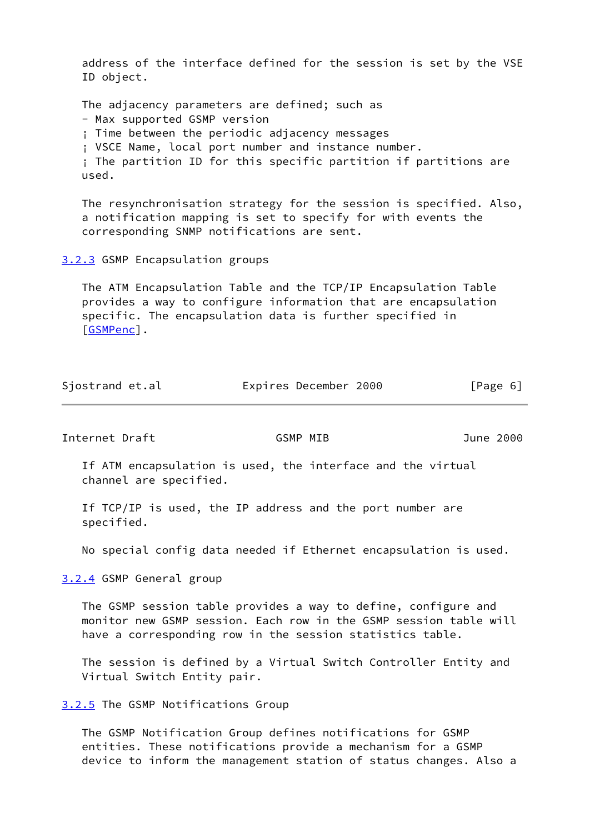address of the interface defined for the session is set by the VSE ID object.

 The adjacency parameters are defined; such as - Max supported GSMP version

¡ Time between the periodic adjacency messages

¡ VSCE Name, local port number and instance number.

 ¡ The partition ID for this specific partition if partitions are used.

 The resynchronisation strategy for the session is specified. Also, a notification mapping is set to specify for with events the corresponding SNMP notifications are sent.

<span id="page-6-0"></span>[3.2.3](#page-6-0) GSMP Encapsulation groups

 The ATM Encapsulation Table and the TCP/IP Encapsulation Table provides a way to configure information that are encapsulation specific. The encapsulation data is further specified in [\[GSMPenc](#page-41-2)].

| Sjostrand et.al | Expires December 2000 | [Page 6] |
|-----------------|-----------------------|----------|
|-----------------|-----------------------|----------|

<span id="page-6-2"></span>Internet Draft GSMP MIB June 2000

 If ATM encapsulation is used, the interface and the virtual channel are specified.

 If TCP/IP is used, the IP address and the port number are specified.

No special config data needed if Ethernet encapsulation is used.

<span id="page-6-1"></span>[3.2.4](#page-6-1) GSMP General group

 The GSMP session table provides a way to define, configure and monitor new GSMP session. Each row in the GSMP session table will have a corresponding row in the session statistics table.

 The session is defined by a Virtual Switch Controller Entity and Virtual Switch Entity pair.

<span id="page-6-3"></span>[3.2.5](#page-6-3) The GSMP Notifications Group

 The GSMP Notification Group defines notifications for GSMP entities. These notifications provide a mechanism for a GSMP device to inform the management station of status changes. Also a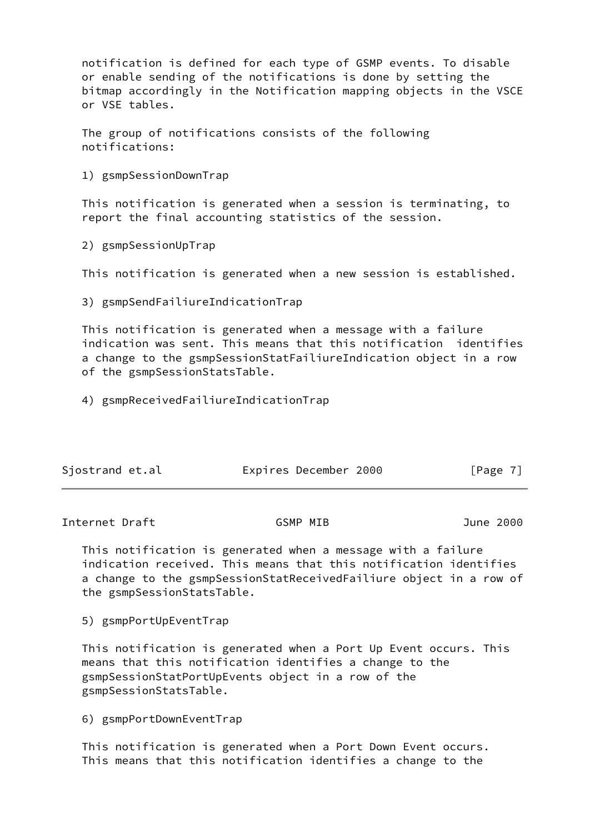notification is defined for each type of GSMP events. To disable or enable sending of the notifications is done by setting the bitmap accordingly in the Notification mapping objects in the VSCE or VSE tables.

 The group of notifications consists of the following notifications:

1) gsmpSessionDownTrap

 This notification is generated when a session is terminating, to report the final accounting statistics of the session.

2) gsmpSessionUpTrap

This notification is generated when a new session is established.

3) gsmpSendFailiureIndicationTrap

 This notification is generated when a message with a failure indication was sent. This means that this notification identifies a change to the gsmpSessionStatFailiureIndication object in a row of the gsmpSessionStatsTable.

4) gsmpReceivedFailiureIndicationTrap

| Sjostrand et.al |  | Expires December 2000 |  | [Page 7] |  |
|-----------------|--|-----------------------|--|----------|--|
|-----------------|--|-----------------------|--|----------|--|

Internet Draft GSMP MIB June 2000

 This notification is generated when a message with a failure indication received. This means that this notification identifies a change to the gsmpSessionStatReceivedFailiure object in a row of the gsmpSessionStatsTable.

5) gsmpPortUpEventTrap

 This notification is generated when a Port Up Event occurs. This means that this notification identifies a change to the gsmpSessionStatPortUpEvents object in a row of the gsmpSessionStatsTable.

6) gsmpPortDownEventTrap

 This notification is generated when a Port Down Event occurs. This means that this notification identifies a change to the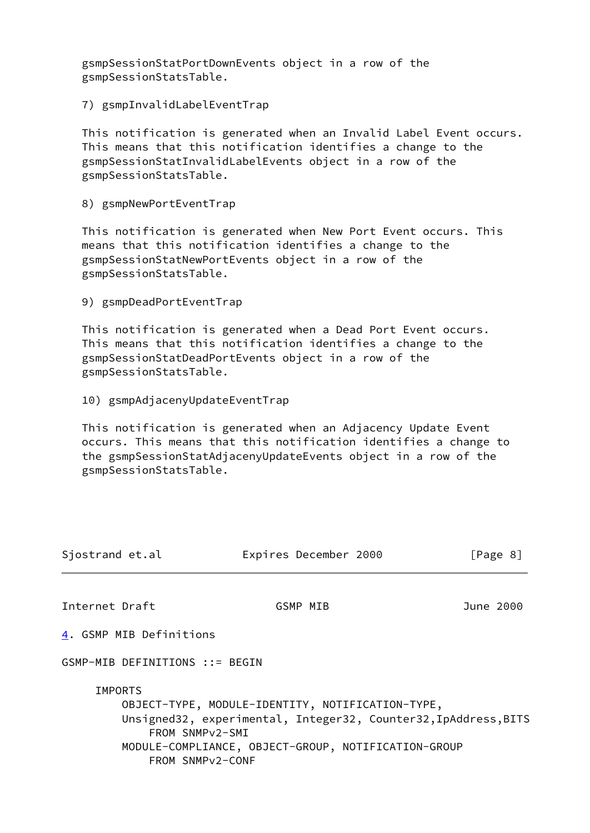gsmpSessionStatPortDownEvents object in a row of the gsmpSessionStatsTable.

7) gsmpInvalidLabelEventTrap

 This notification is generated when an Invalid Label Event occurs. This means that this notification identifies a change to the gsmpSessionStatInvalidLabelEvents object in a row of the gsmpSessionStatsTable.

8) gsmpNewPortEventTrap

 This notification is generated when New Port Event occurs. This means that this notification identifies a change to the gsmpSessionStatNewPortEvents object in a row of the gsmpSessionStatsTable.

9) gsmpDeadPortEventTrap

 This notification is generated when a Dead Port Event occurs. This means that this notification identifies a change to the gsmpSessionStatDeadPortEvents object in a row of the gsmpSessionStatsTable.

10) gsmpAdjacenyUpdateEventTrap

 This notification is generated when an Adjacency Update Event occurs. This means that this notification identifies a change to the gsmpSessionStatAdjacenyUpdateEvents object in a row of the gsmpSessionStatsTable.

<span id="page-8-1"></span><span id="page-8-0"></span>

| Sjostrand et.al                                                    | Expires December 2000                                                                                                                                                      | [Page 8]  |
|--------------------------------------------------------------------|----------------------------------------------------------------------------------------------------------------------------------------------------------------------------|-----------|
| Internet Draft                                                     | GSMP MIB                                                                                                                                                                   | June 2000 |
| 4. GSMP MIB Definitions                                            |                                                                                                                                                                            |           |
| GSMP-MIB DEFINITIONS ::= BEGIN                                     |                                                                                                                                                                            |           |
| <b>IMPORTS</b><br>FROM SNMPv2-SMI<br>FROM SNMP <sub>V2</sub> -CONF | OBJECT-TYPE, MODULE-IDENTITY, NOTIFICATION-TYPE,<br>Unsigned32, experimental, Integer32, Counter32, IpAddress, BITS<br>MODULE-COMPLIANCE, OBJECT-GROUP, NOTIFICATION-GROUP |           |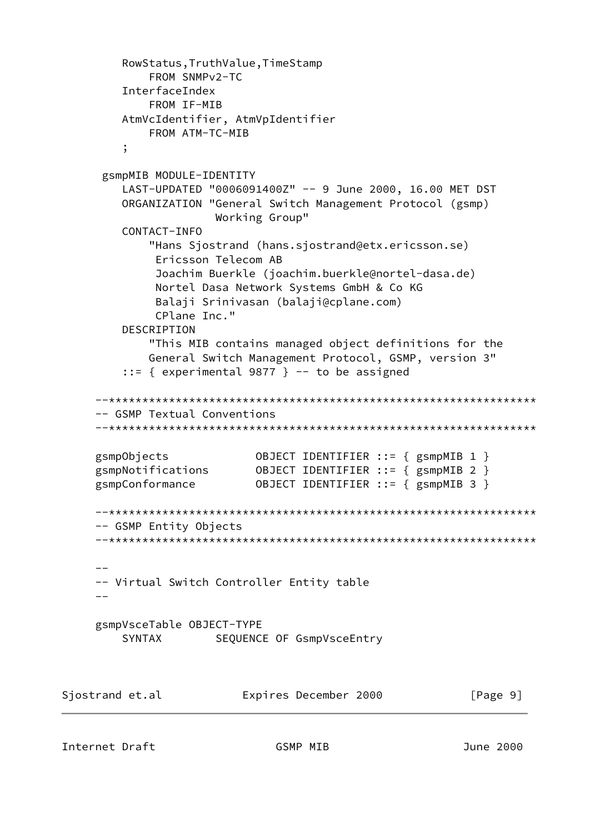```
 RowStatus,TruthValue,TimeStamp
             FROM SNMPv2-TC
         InterfaceIndex
             FROM IF-MIB
         AtmVcIdentifier, AtmVpIdentifier
             FROM ATM-TC-MIB
 ;
      gsmpMIB MODULE-IDENTITY
         LAST-UPDATED "0006091400Z" -- 9 June 2000, 16.00 MET DST
         ORGANIZATION "General Switch Management Protocol (gsmp)
                       Working Group"
         CONTACT-INFO
             "Hans Sjostrand (hans.sjostrand@etx.ericsson.se)
              Ericsson Telecom AB
              Joachim Buerkle (joachim.buerkle@nortel-dasa.de)
              Nortel Dasa Network Systems GmbH & Co KG
              Balaji Srinivasan (balaji@cplane.com)
              CPlane Inc."
         DESCRIPTION
             "This MIB contains managed object definitions for the
             General Switch Management Protocol, GSMP, version 3"
         ::= { experimental 9877 } -- to be assigned
      --****************************************************************
      -- GSMP Textual Conventions
      --****************************************************************
 gsmpObjects OBJECT IDENTIFIER ::= { gsmpMIB 1 }
 gsmpNotifications OBJECT IDENTIFIER ::= { gsmpMIB 2 }
 gsmpConformance OBJECT IDENTIFIER ::= { gsmpMIB 3 }
      --****************************************************************
      -- GSMP Entity Objects
      --****************************************************************
 --
      -- Virtual Switch Controller Entity table
     -- gsmpVsceTable OBJECT-TYPE
        SYNTAX SEQUENCE OF GsmpVsceEntry
Sjostrand et.al Expires December 2000 [Page 9]
```
Internet Draft GSMP MIB June 2000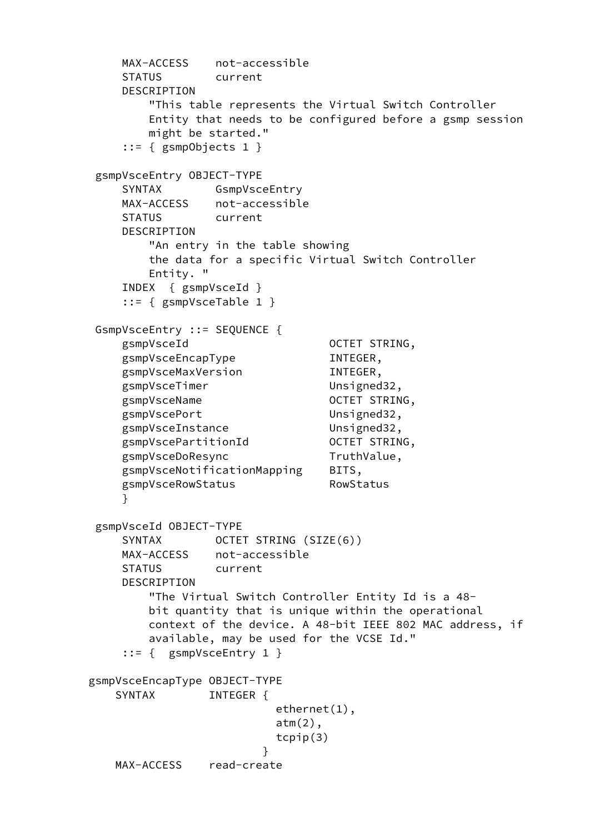```
 MAX-ACCESS not-accessible
        STATUS current
        DESCRIPTION
            "This table represents the Virtual Switch Controller
            Entity that needs to be configured before a gsmp session
            might be started."
        ::= { gsmpObjects 1 }
     gsmpVsceEntry OBJECT-TYPE
        SYNTAX GsmpVsceEntry
        MAX-ACCESS not-accessible
        STATUS current
        DESCRIPTION
            "An entry in the table showing
            the data for a specific Virtual Switch Controller
            Entity. "
        INDEX { gsmpVsceId }
        ::= { gsmpVsceTable 1 }
     GsmpVsceEntry ::= SEQUENCE {
        gsmpVsceId OCTET STRING,
       gsmpVsceEncapType INTEGER,
        gsmpVsceMaxVersion INTEGER,
       gsmpVsceTimer Unsigned32,
       gsmpVsceName OCTET STRING,
        gsmpVscePort Unsigned32,
       gsmpVsceInstance Unsigned32,
       gsmpVscePartitionId
2007ET STRING,
       gsmpVsceDoResync TruthValue,
        gsmpVsceNotificationMapping BITS,
       gsmpVsceRowStatus RowStatus
 }
     gsmpVsceId OBJECT-TYPE
       SYNTAX OCTET STRING (SIZE(6))
        MAX-ACCESS not-accessible
        STATUS current
        DESCRIPTION
            "The Virtual Switch Controller Entity Id is a 48-
            bit quantity that is unique within the operational
            context of the device. A 48-bit IEEE 802 MAC address, if
            available, may be used for the VCSE Id."
        ::= { gsmpVsceEntry 1 }
    gsmpVsceEncapType OBJECT-TYPE
      SYNTAX INTEGER {
                            ethernet(1),
                           atm(2),
                            tcpip(3)
 }
       MAX-ACCESS read-create
```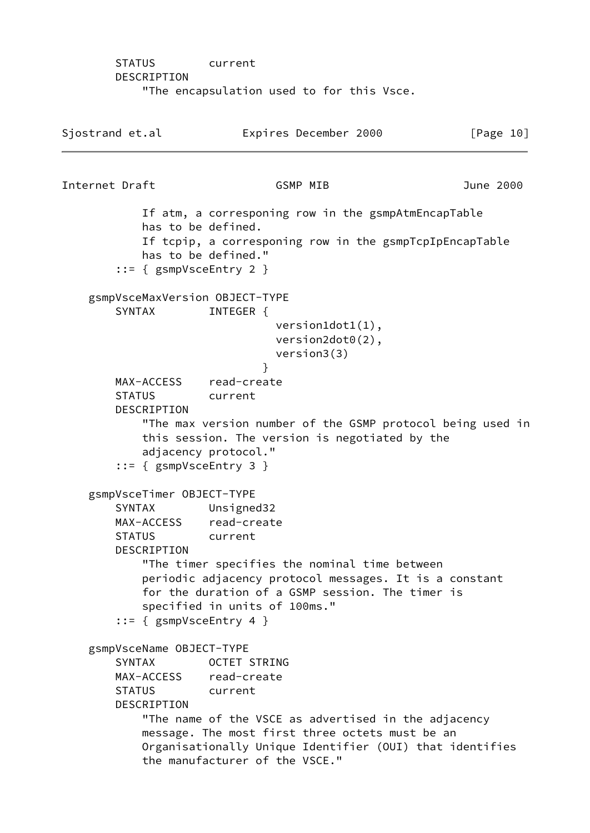STATUS current DESCRIPTION "The encapsulation used to for this Vsce.

Sjostrand et.al **Expires December 2000** [Page 10] Internet Draft GSMP MIB June 2000 If atm, a corresponing row in the gsmpAtmEncapTable has to be defined. If tcpip, a corresponing row in the gsmpTcpIpEncapTable has to be defined." ::= { gsmpVsceEntry 2 } gsmpVsceMaxVersion OBJECT-TYPE SYNTAX INTEGER { version1dot1(1), version2dot0(2), version3(3) } MAX-ACCESS read-create STATUS current DESCRIPTION "The max version number of the GSMP protocol being used in this session. The version is negotiated by the adjacency protocol." ::= { gsmpVsceEntry 3 } gsmpVsceTimer OBJECT-TYPE SYNTAX Unsigned32 MAX-ACCESS read-create STATUS current DESCRIPTION "The timer specifies the nominal time between periodic adjacency protocol messages. It is a constant for the duration of a GSMP session. The timer is specified in units of 100ms." ::= { gsmpVsceEntry 4 } gsmpVsceName OBJECT-TYPE SYNTAX OCTET STRING MAX-ACCESS read-create STATUS current DESCRIPTION "The name of the VSCE as advertised in the adjacency message. The most first three octets must be an Organisationally Unique Identifier (OUI) that identifies the manufacturer of the VSCE."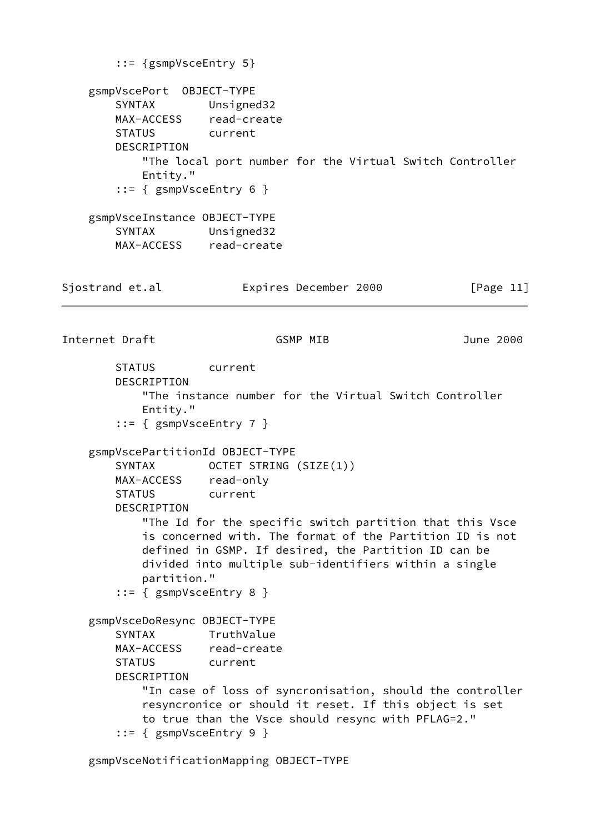::= {gsmpVsceEntry 5} gsmpVscePort OBJECT-TYPE SYNTAX Unsigned32 MAX-ACCESS read-create STATUS current DESCRIPTION "The local port number for the Virtual Switch Controller Entity." ::= { gsmpVsceEntry 6 } gsmpVsceInstance OBJECT-TYPE SYNTAX Unsigned32 MAX-ACCESS read-create Sjostrand et.al **Expires December 2000** [Page 11] Internet Draft GSMP MIB June 2000 STATUS current DESCRIPTION "The instance number for the Virtual Switch Controller Entity." ::= { gsmpVsceEntry 7 } gsmpVscePartitionId OBJECT-TYPE SYNTAX OCTET STRING (SIZE(1)) MAX-ACCESS read-only STATUS current DESCRIPTION "The Id for the specific switch partition that this Vsce is concerned with. The format of the Partition ID is not defined in GSMP. If desired, the Partition ID can be divided into multiple sub-identifiers within a single partition." ::= { gsmpVsceEntry 8 } gsmpVsceDoResync OBJECT-TYPE SYNTAX TruthValue MAX-ACCESS read-create STATUS current DESCRIPTION "In case of loss of syncronisation, should the controller resyncronice or should it reset. If this object is set to true than the Vsce should resync with PFLAG=2." ::= { gsmpVsceEntry 9 }

gsmpVsceNotificationMapping OBJECT-TYPE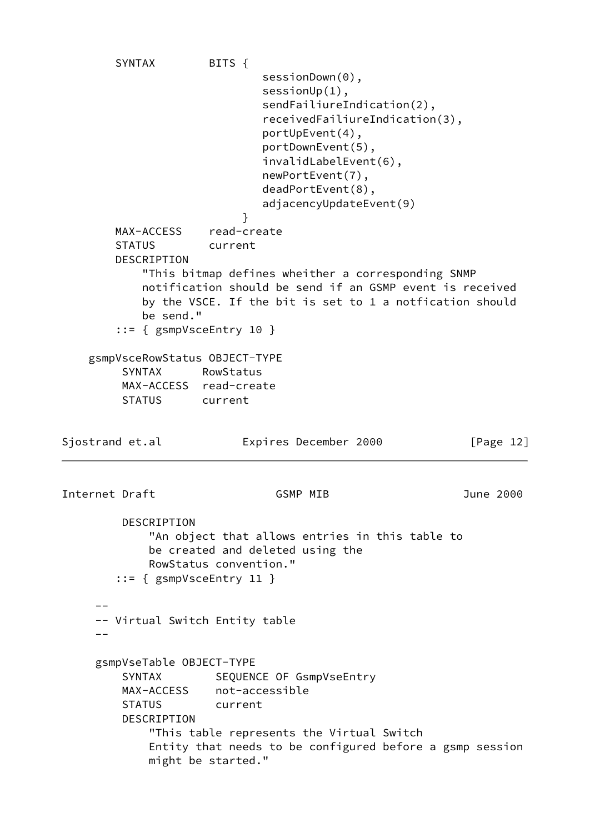SYNTAX BITS { sessionDown(0), sessionUp(1), sendFailiureIndication(2), receivedFailiureIndication(3), portUpEvent(4), portDownEvent(5), invalidLabelEvent(6), newPortEvent(7), deadPortEvent(8), adjacencyUpdateEvent(9) } MAX-ACCESS read-create STATUS current DESCRIPTION "This bitmap defines wheither a corresponding SNMP notification should be send if an GSMP event is received by the VSCE. If the bit is set to 1 a notfication should be send." ::= { gsmpVsceEntry 10 } gsmpVsceRowStatus OBJECT-TYPE SYNTAX RowStatus MAX-ACCESS read-create STATUS current Sjostrand et.al **Expires December 2000** [Page 12] Internet Draft GSMP MIB June 2000 DESCRIPTION "An object that allows entries in this table to be created and deleted using the RowStatus convention." ::= { gsmpVsceEntry 11 }  $-$  -- Virtual Switch Entity table  $-$  gsmpVseTable OBJECT-TYPE SYNTAX SEQUENCE OF GsmpVseEntry MAX-ACCESS not-accessible STATUS current DESCRIPTION "This table represents the Virtual Switch Entity that needs to be configured before a gsmp session might be started."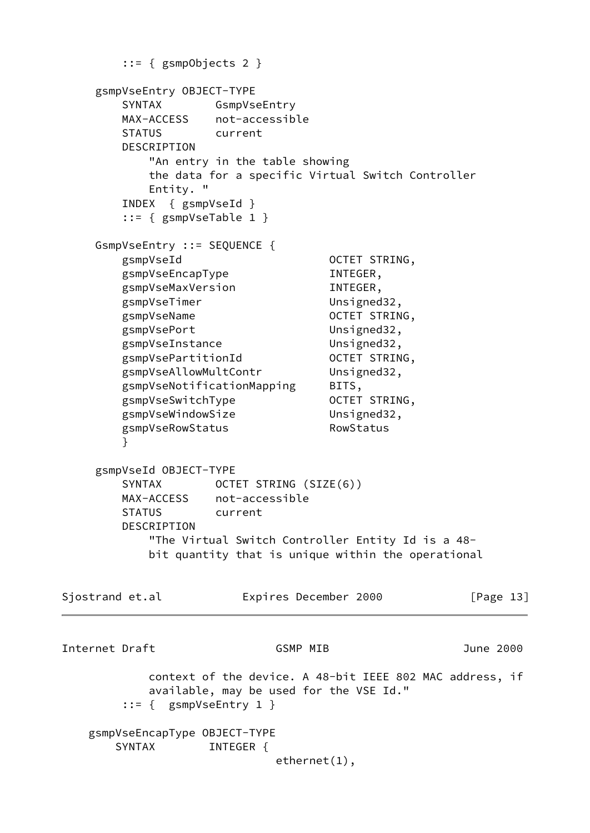```
 ::= { gsmpObjects 2 }
     gsmpVseEntry OBJECT-TYPE
        SYNTAX GsmpVseEntry
        MAX-ACCESS not-accessible
        STATUS current
        DESCRIPTION
            "An entry in the table showing
           the data for a specific Virtual Switch Controller
           Entity. "
        INDEX { gsmpVseId }
        ::= { gsmpVseTable 1 }
     GsmpVseEntry ::= SEQUENCE {
        gsmpVseId OCTET STRING,
       gsmpVseEncapType INTEGER,
        gsmpVseMaxVersion INTEGER,
       gsmpVseTimer Unsigned32,
       gsmpVseName OCTET STRING,
        gsmpVsePort Unsigned32,
        gsmpVseInstance Unsigned32,
       gsmpVsePartitionId
2007ET STRING,
       gsmpVseAllowMultContr Unsigned32,
        gsmpVseNotificationMapping BITS,
       gsmpVseSwitchType 0CTET STRING,
       gsmpVseWindowSize Unsigned32,
       gsmpVseRowStatus RowStatus
        }
     gsmpVseId OBJECT-TYPE
       SYNTAX OCTET STRING (SIZE(6))
        MAX-ACCESS not-accessible
        STATUS current
        DESCRIPTION
           "The Virtual Switch Controller Entity Id is a 48-
           bit quantity that is unique within the operational
Sjostrand et.al Expires December 2000 [Page 13]
Internet Draft GSMP MIB June 2000
           context of the device. A 48-bit IEEE 802 MAC address, if
           available, may be used for the VSE Id."
        ::= { gsmpVseEntry 1 }
    gsmpVseEncapType OBJECT-TYPE
      SYNTAX INTEGER {
                           ethernet(1),
```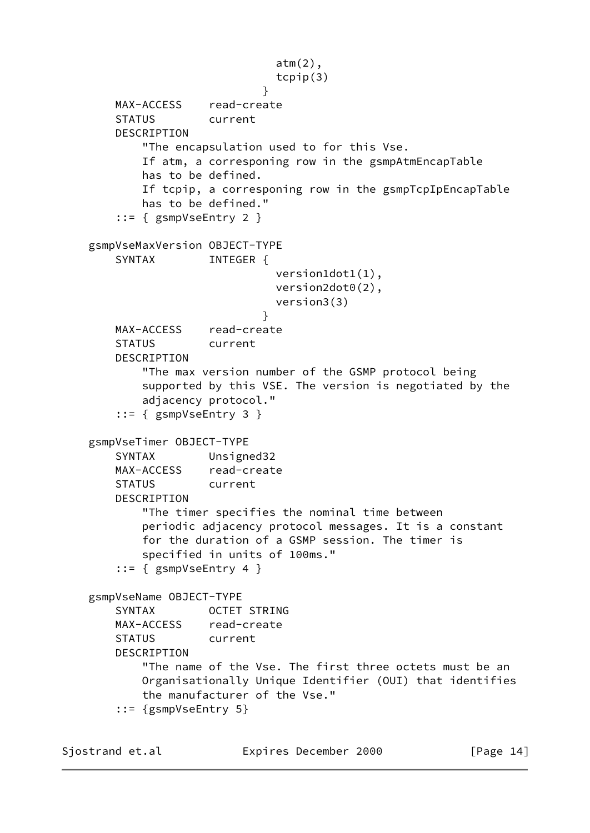```
 atm(2),
                               tcpip(3)
 }
        MAX-ACCESS read-create
        STATUS current
        DESCRIPTION
            "The encapsulation used to for this Vse.
            If atm, a corresponing row in the gsmpAtmEncapTable
            has to be defined.
            If tcpip, a corresponing row in the gsmpTcpIpEncapTable
            has to be defined."
        ::= { gsmpVseEntry 2 }
    gsmpVseMaxVersion OBJECT-TYPE
       SYNTAX INTEGER {
                               version1dot1(1),
                               version2dot0(2),
                               version3(3)
 }
        MAX-ACCESS read-create
        STATUS current
        DESCRIPTION
            "The max version number of the GSMP protocol being
            supported by this VSE. The version is negotiated by the
            adjacency protocol."
        ::= { gsmpVseEntry 3 }
    gsmpVseTimer OBJECT-TYPE
        SYNTAX Unsigned32
        MAX-ACCESS read-create
        STATUS current
        DESCRIPTION
            "The timer specifies the nominal time between
            periodic adjacency protocol messages. It is a constant
            for the duration of a GSMP session. The timer is
            specified in units of 100ms."
        ::= { gsmpVseEntry 4 }
    gsmpVseName OBJECT-TYPE
        SYNTAX OCTET STRING
       MAX-ACCESS read-create
        STATUS current
        DESCRIPTION
            "The name of the Vse. The first three octets must be an
            Organisationally Unique Identifier (OUI) that identifies
            the manufacturer of the Vse."
        ::= {gsmpVseEntry 5}
```
Sjostrand et.al **Expires December 2000** [Page 14]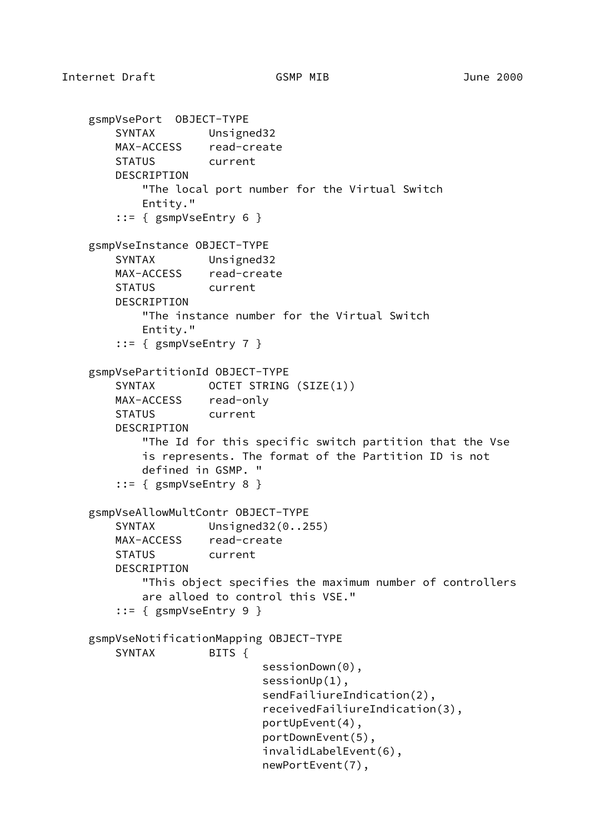```
 gsmpVsePort OBJECT-TYPE
    SYNTAX Unsigned32
    MAX-ACCESS read-create
    STATUS current
    DESCRIPTION
        "The local port number for the Virtual Switch
        Entity."
     ::= { gsmpVseEntry 6 }
 gsmpVseInstance OBJECT-TYPE
    SYNTAX Unsigned32
   MAX-ACCESS read-create
    STATUS current
    DESCRIPTION
        "The instance number for the Virtual Switch
        Entity."
     ::= { gsmpVseEntry 7 }
 gsmpVsePartitionId OBJECT-TYPE
   SYNTAX OCTET STRING (SIZE(1))
    MAX-ACCESS read-only
    STATUS current
    DESCRIPTION
        "The Id for this specific switch partition that the Vse
        is represents. The format of the Partition ID is not
        defined in GSMP. "
     ::= { gsmpVseEntry 8 }
 gsmpVseAllowMultContr OBJECT-TYPE
   SYNTAX Unsigned32(0..255)
    MAX-ACCESS read-create
    STATUS current
    DESCRIPTION
        "This object specifies the maximum number of controllers
        are alloed to control this VSE."
     ::= { gsmpVseEntry 9 }
 gsmpVseNotificationMapping OBJECT-TYPE
   SYNTAX BITS {
                         sessionDown(0),
                         sessionUp(1),
                          sendFailiureIndication(2),
                          receivedFailiureIndication(3),
                          portUpEvent(4),
                          portDownEvent(5),
                          invalidLabelEvent(6),
                          newPortEvent(7),
```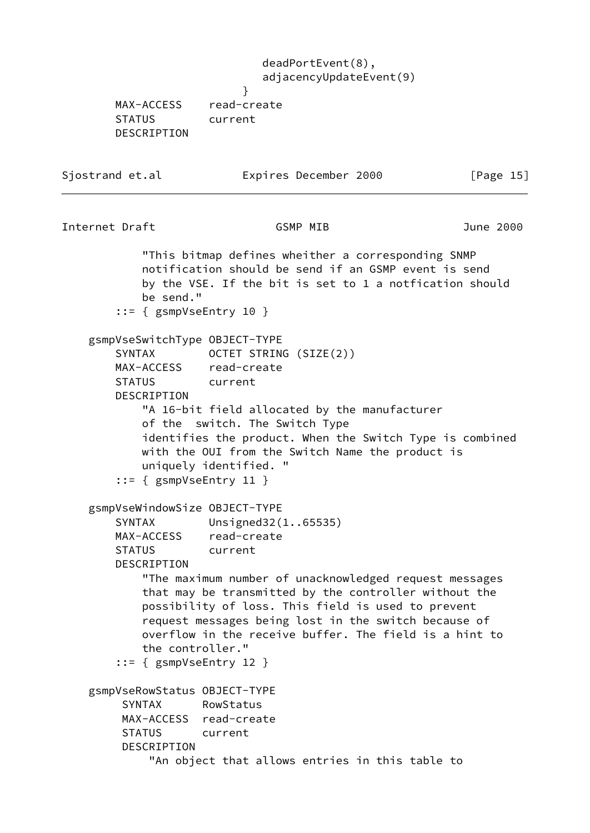deadPortEvent(8), adjacencyUpdateEvent(9) } MAX-ACCESS read-create STATUS current DESCRIPTION Sjostrand et.al **Expires December 2000** [Page 15] Internet Draft GSMP MIB June 2000 "This bitmap defines wheither a corresponding SNMP notification should be send if an GSMP event is send by the VSE. If the bit is set to 1 a notfication should be send." ::= { gsmpVseEntry 10 } gsmpVseSwitchType OBJECT-TYPE SYNTAX OCTET STRING (SIZE(2)) MAX-ACCESS read-create STATUS current DESCRIPTION "A 16-bit field allocated by the manufacturer of the switch. The Switch Type identifies the product. When the Switch Type is combined with the OUI from the Switch Name the product is uniquely identified. " ::= { gsmpVseEntry 11 } gsmpVseWindowSize OBJECT-TYPE SYNTAX Unsigned32(1..65535) MAX-ACCESS read-create STATUS current DESCRIPTION "The maximum number of unacknowledged request messages that may be transmitted by the controller without the possibility of loss. This field is used to prevent request messages being lost in the switch because of overflow in the receive buffer. The field is a hint to the controller." ::= { gsmpVseEntry 12 } gsmpVseRowStatus OBJECT-TYPE SYNTAX RowStatus MAX-ACCESS read-create STATUS current DESCRIPTION "An object that allows entries in this table to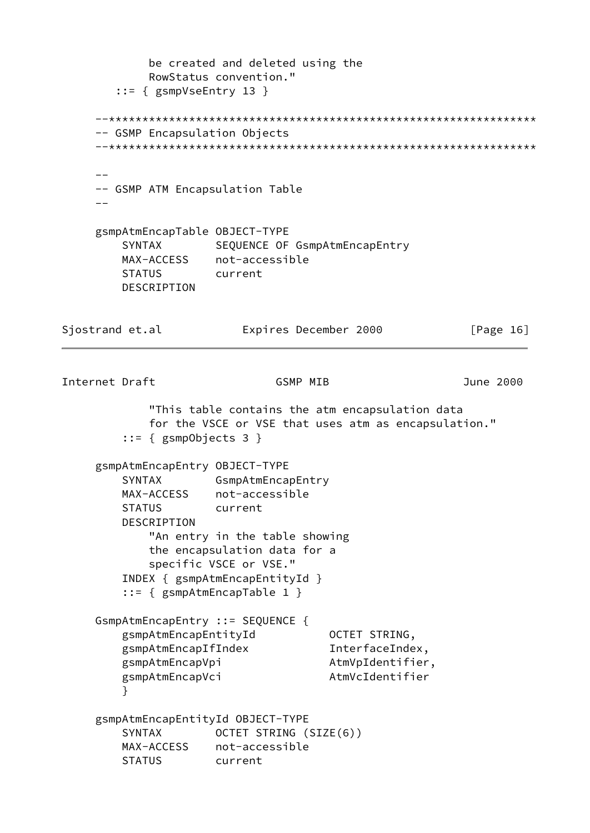be created and deleted using the RowStatus convention." ::= { gsmpVseEntry 13 } --\*\*\*\*\*\*\*\*\*\*\*\*\*\*\*\*\*\*\*\*\*\*\*\*\*\*\*\*\*\*\*\*\*\*\*\*\*\*\*\*\*\*\*\*\*\*\*\*\*\*\*\*\*\*\*\*\*\*\*\*\*\*\*\* -- GSMP Encapsulation Objects --\*\*\*\*\*\*\*\*\*\*\*\*\*\*\*\*\*\*\*\*\*\*\*\*\*\*\*\*\*\*\*\*\*\*\*\*\*\*\*\*\*\*\*\*\*\*\*\*\*\*\*\*\*\*\*\*\*\*\*\*\*\*\*\* -- -- GSMP ATM Encapsulation Table  $-$  gsmpAtmEncapTable OBJECT-TYPE SYNTAX SEQUENCE OF GsmpAtmEncapEntry MAX-ACCESS not-accessible STATUS current DESCRIPTION Sjostrand et.al **Expires December 2000** [Page 16] Internet Draft GSMP MIB June 2000 "This table contains the atm encapsulation data for the VSCE or VSE that uses atm as encapsulation." ::= { gsmpObjects 3 } gsmpAtmEncapEntry OBJECT-TYPE SYNTAX GsmpAtmEncapEntry MAX-ACCESS not-accessible STATUS current DESCRIPTION "An entry in the table showing the encapsulation data for a specific VSCE or VSE." INDEX { gsmpAtmEncapEntityId } ::= { gsmpAtmEncapTable 1 } GsmpAtmEncapEntry ::= SEQUENCE { gsmpAtmEncapEntityId **black** OCTET STRING, gsmpAtmEncapIfIndex InterfaceIndex, gsmpAtmEncapVpi AtmVpIdentifier, gsmpAtmEncapVci AtmVcIdentifier } gsmpAtmEncapEntityId OBJECT-TYPE SYNTAX OCTET STRING (SIZE(6)) MAX-ACCESS not-accessible STATUS current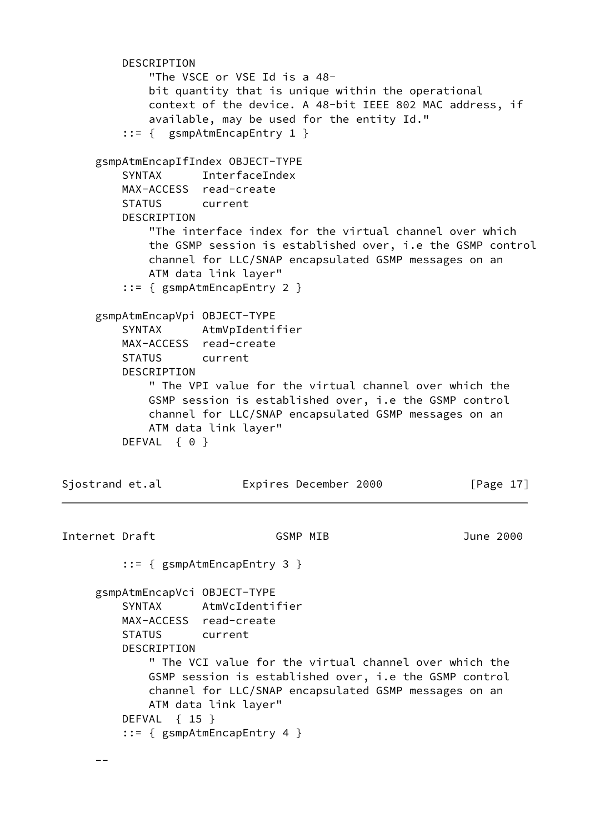```
 DESCRIPTION
             "The VSCE or VSE Id is a 48-
             bit quantity that is unique within the operational
             context of the device. A 48-bit IEEE 802 MAC address, if
             available, may be used for the entity Id."
         ::= { gsmpAtmEncapEntry 1 }
     gsmpAtmEncapIfIndex OBJECT-TYPE
         SYNTAX InterfaceIndex
         MAX-ACCESS read-create
         STATUS current
         DESCRIPTION
             "The interface index for the virtual channel over which
             the GSMP session is established over, i.e the GSMP control
             channel for LLC/SNAP encapsulated GSMP messages on an
             ATM data link layer"
         ::= { gsmpAtmEncapEntry 2 }
     gsmpAtmEncapVpi OBJECT-TYPE
         SYNTAX AtmVpIdentifier
         MAX-ACCESS read-create
         STATUS current
         DESCRIPTION
             " The VPI value for the virtual channel over which the
             GSMP session is established over, i.e the GSMP control
             channel for LLC/SNAP encapsulated GSMP messages on an
             ATM data link layer"
        DEFVAL { 0 }
Sjostrand et.al Expires December 2000 [Page 17]
Internet Draft GSMP MIB June 2000
         ::= { gsmpAtmEncapEntry 3 }
     gsmpAtmEncapVci OBJECT-TYPE
         SYNTAX AtmVcIdentifier
         MAX-ACCESS read-create
         STATUS current
         DESCRIPTION
             " The VCI value for the virtual channel over which the
             GSMP session is established over, i.e the GSMP control
             channel for LLC/SNAP encapsulated GSMP messages on an
             ATM data link layer"
         DEFVAL { 15 }
         ::= { gsmpAtmEncapEntry 4 }
```
--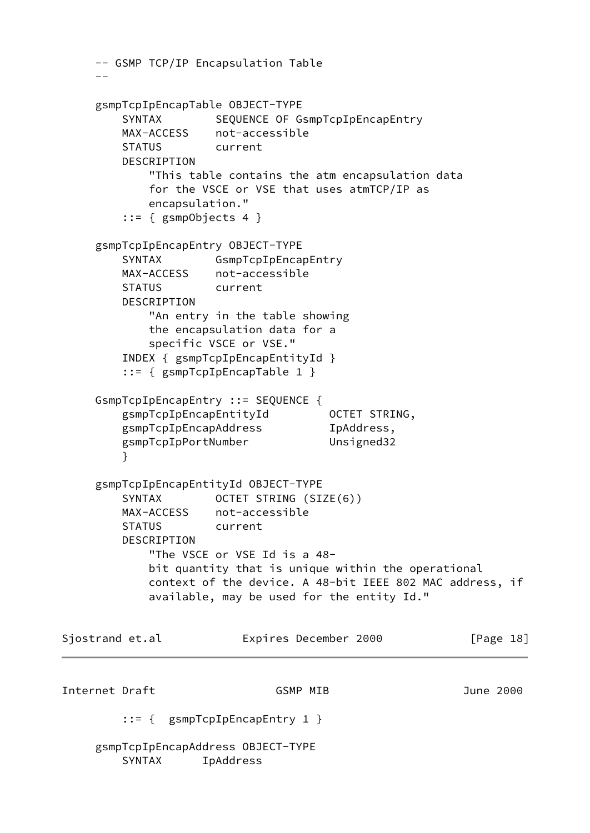```
 -- GSMP TCP/IP Encapsulation Table
    - gsmpTcpIpEncapTable OBJECT-TYPE
        SYNTAX SEQUENCE OF GsmpTcpIpEncapEntry
         MAX-ACCESS not-accessible
         STATUS current
         DESCRIPTION
             "This table contains the atm encapsulation data
             for the VSCE or VSE that uses atmTCP/IP as
             encapsulation."
         ::= { gsmpObjects 4 }
     gsmpTcpIpEncapEntry OBJECT-TYPE
        SYNTAX GsmpTcpIpEncapEntry
         MAX-ACCESS not-accessible
         STATUS current
         DESCRIPTION
             "An entry in the table showing
             the encapsulation data for a
             specific VSCE or VSE."
         INDEX { gsmpTcpIpEncapEntityId }
         ::= { gsmpTcpIpEncapTable 1 }
     GsmpTcpIpEncapEntry ::= SEQUENCE {
        gsmpTcpIpEncapEntityId OCTET STRING,
        gsmpTcpIpEncapAddress IpAddress,
         gsmpTcpIpPortNumber Unsigned32
 }
     gsmpTcpIpEncapEntityId OBJECT-TYPE
        SYNTAX OCTET STRING (SIZE(6))
         MAX-ACCESS not-accessible
         STATUS current
         DESCRIPTION
             "The VSCE or VSE Id is a 48-
             bit quantity that is unique within the operational
             context of the device. A 48-bit IEEE 802 MAC address, if
             available, may be used for the entity Id."
Sjostrand et.al Expires December 2000 [Page 18]
Internet Draft GSMP MIB June 2000
         ::= { gsmpTcpIpEncapEntry 1 }
     gsmpTcpIpEncapAddress OBJECT-TYPE
         SYNTAX IpAddress
```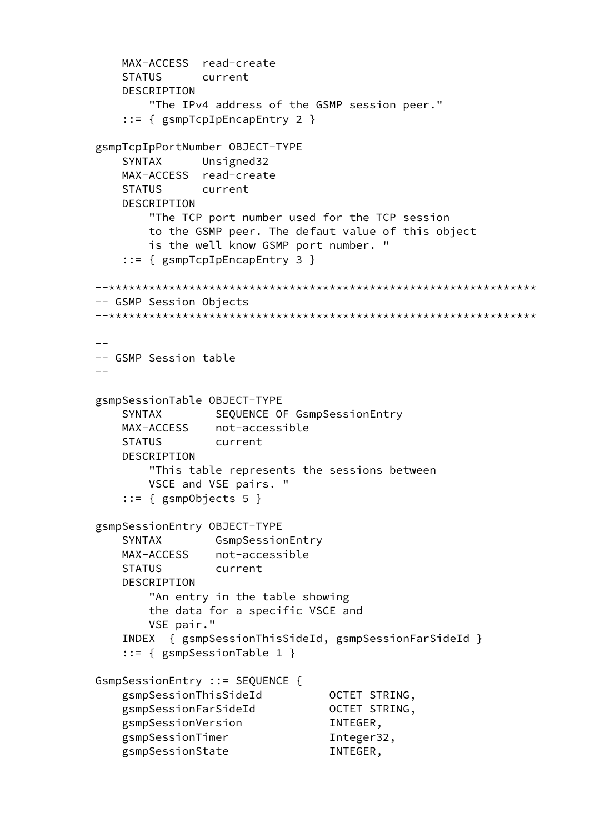```
 MAX-ACCESS read-create
         STATUS current
         DESCRIPTION
             "The IPv4 address of the GSMP session peer."
         ::= { gsmpTcpIpEncapEntry 2 }
     gsmpTcpIpPortNumber OBJECT-TYPE
         SYNTAX Unsigned32
         MAX-ACCESS read-create
         STATUS current
         DESCRIPTION
             "The TCP port number used for the TCP session
             to the GSMP peer. The defaut value of this object
             is the well know GSMP port number. "
         ::= { gsmpTcpIpEncapEntry 3 }
     --****************************************************************
     -- GSMP Session Objects
     --****************************************************************
 --
     -- GSMP Session table
    - gsmpSessionTable OBJECT-TYPE
        SYNTAX SEQUENCE OF GsmpSessionEntry
         MAX-ACCESS not-accessible
         STATUS current
         DESCRIPTION
             "This table represents the sessions between
             VSCE and VSE pairs. "
         ::= { gsmpObjects 5 }
     gsmpSessionEntry OBJECT-TYPE
         SYNTAX GsmpSessionEntry
         MAX-ACCESS not-accessible
         STATUS current
         DESCRIPTION
             "An entry in the table showing
             the data for a specific VSCE and
             VSE pair."
         INDEX { gsmpSessionThisSideId, gsmpSessionFarSideId }
         ::= { gsmpSessionTable 1 }
     GsmpSessionEntry ::= SEQUENCE {
         gsmpSessionThisSideId OCTET STRING,
         gsmpSessionFarSideId OCTET STRING,
         gsmpSessionVersion INTEGER,
        gsmpSessionTimer 1nteger32,
         gsmpSessionState INTEGER,
```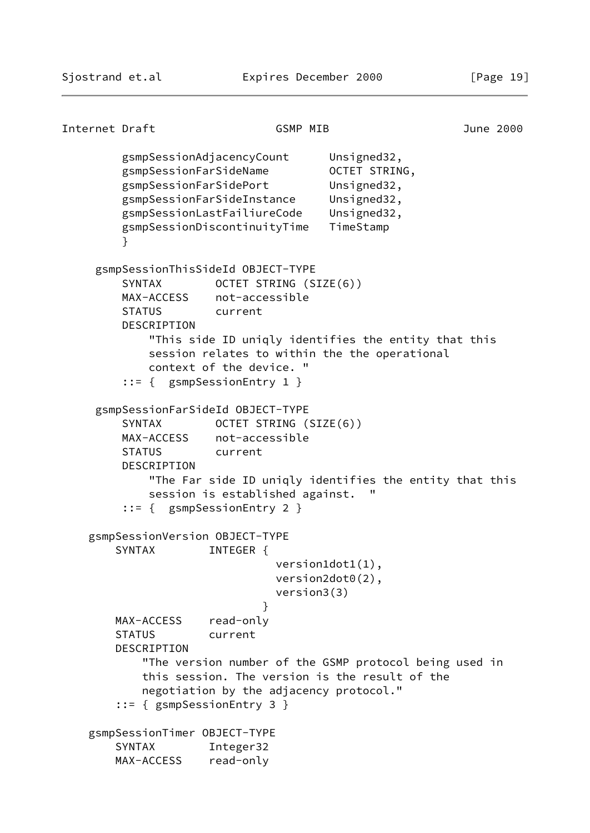```
Internet Draft GSMP MIB June 2000
         gsmpSessionAdjacencyCount Unsigned32,
         gsmpSessionFarSideName OCTET STRING,
         gsmpSessionFarSidePort Unsigned32,
         gsmpSessionFarSideInstance Unsigned32,
         gsmpSessionLastFailiureCode Unsigned32,
         gsmpSessionDiscontinuityTime TimeStamp
 }
     gsmpSessionThisSideId OBJECT-TYPE
        SYNTAX OCTET STRING (SIZE(6))
         MAX-ACCESS not-accessible
         STATUS current
         DESCRIPTION
             "This side ID uniqly identifies the entity that this
            session relates to within the the operational
            context of the device. "
         ::= { gsmpSessionEntry 1 }
     gsmpSessionFarSideId OBJECT-TYPE
        SYNTAX OCTET STRING (SIZE(6))
         MAX-ACCESS not-accessible
         STATUS current
         DESCRIPTION
            "The Far side ID uniqly identifies the entity that this
           session is established against.
         ::= { gsmpSessionEntry 2 }
    gsmpSessionVersion OBJECT-TYPE
       SYNTAX INTEGER {
                              version1dot1(1),
                              version2dot0(2),
                              version3(3)
 }
        MAX-ACCESS read-only
        STATUS current
        DESCRIPTION
            "The version number of the GSMP protocol being used in
           this session. The version is the result of the
           negotiation by the adjacency protocol."
        ::= { gsmpSessionEntry 3 }
    gsmpSessionTimer OBJECT-TYPE
        SYNTAX Integer32
        MAX-ACCESS read-only
```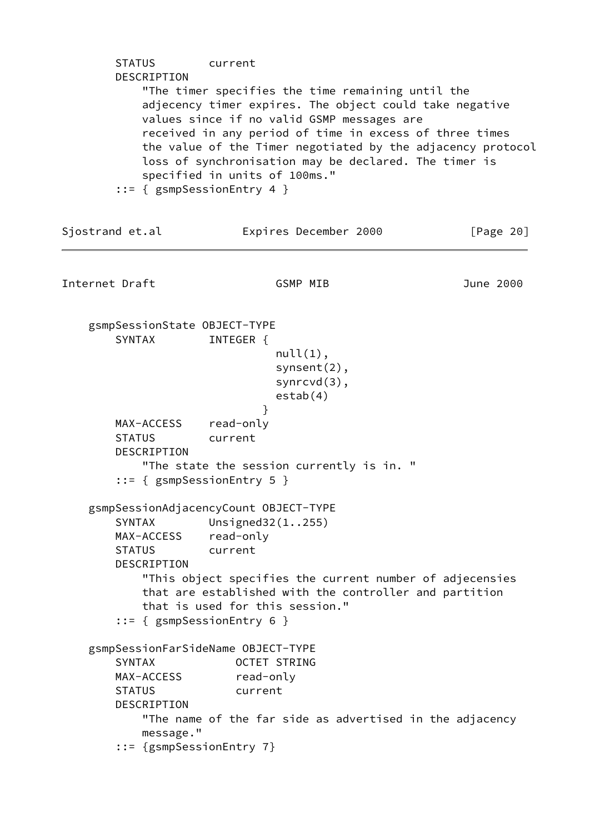| <b>STATUS</b><br>DESCRIPTION                                                                                                                                                                                                                                                                                                                                                                                   | current                                                                                                                                                                                                                                                                         |           |  |  |
|----------------------------------------------------------------------------------------------------------------------------------------------------------------------------------------------------------------------------------------------------------------------------------------------------------------------------------------------------------------------------------------------------------------|---------------------------------------------------------------------------------------------------------------------------------------------------------------------------------------------------------------------------------------------------------------------------------|-----------|--|--|
| "The timer specifies the time remaining until the<br>adjecency timer expires. The object could take negative<br>values since if no valid GSMP messages are<br>received in any period of time in excess of three times<br>the value of the Timer negotiated by the adjacency protocol<br>loss of synchronisation may be declared. The timer is<br>specified in units of 100ms."<br>$::= {$ gsmpSessionEntry 4 } |                                                                                                                                                                                                                                                                                 |           |  |  |
| Sjostrand et.al                                                                                                                                                                                                                                                                                                                                                                                                | Expires December 2000                                                                                                                                                                                                                                                           | [Page 20] |  |  |
| Internet Draft                                                                                                                                                                                                                                                                                                                                                                                                 | <b>GSMP MIB</b>                                                                                                                                                                                                                                                                 | June 2000 |  |  |
| gsmpSessionState OBJECT-TYPE<br><b>SYNTAX</b>                                                                                                                                                                                                                                                                                                                                                                  | INTEGER {<br>$null(1)$ ,<br>$synsent(2)$ ,<br>$synrcvd(3)$ ,<br>estab(4)                                                                                                                                                                                                        |           |  |  |
| MAX-ACCESS read-only<br><b>STATUS</b><br>DESCRIPTION                                                                                                                                                                                                                                                                                                                                                           | }<br>current<br>"The state the session currently is in. "<br>$::= {$ gsmpSessionEntry 5 }                                                                                                                                                                                       |           |  |  |
| <b>SYNTAX</b><br>MAX-ACCESS<br><b>STATUS</b><br>DESCRIPTION                                                                                                                                                                                                                                                                                                                                                    | gsmpSessionAdjacencyCount OBJECT-TYPE<br>Unsigned $32(1.0255)$<br>read-only<br>current<br>"This object specifies the current number of adjecensies<br>that are established with the controller and partition<br>that is used for this session."<br>$::= {$ gsmpSessionEntry 6 } |           |  |  |
| <b>SYNTAX</b><br>MAX-ACCESS<br><b>STATUS</b><br>DESCRIPTION<br>message."<br>::= {gsmpSessionEntry 7}                                                                                                                                                                                                                                                                                                           | gsmpSessionFarSideName OBJECT-TYPE<br><b>OCTET STRING</b><br>read-only<br>current<br>"The name of the far side as advertised in the adjacency                                                                                                                                   |           |  |  |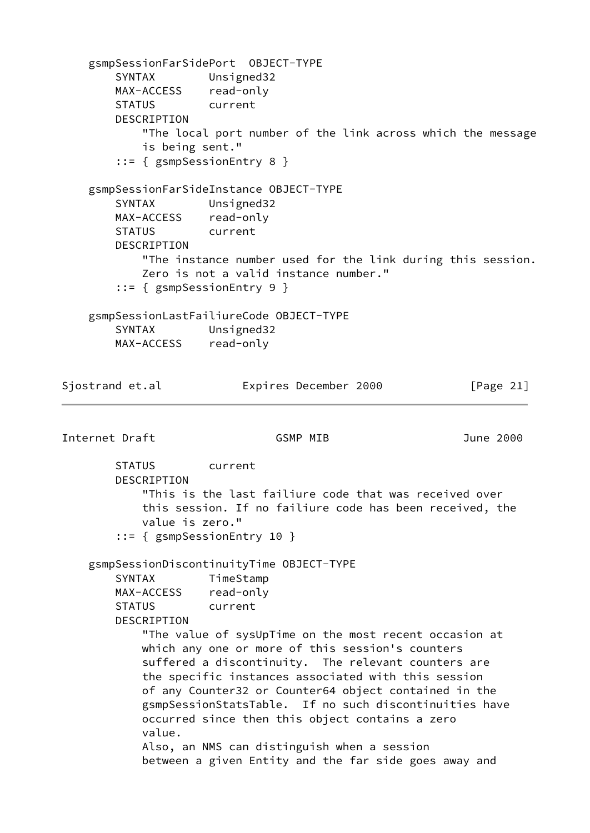gsmpSessionFarSidePort OBJECT-TYPE SYNTAX Unsigned32 MAX-ACCESS read-only STATUS current DESCRIPTION "The local port number of the link across which the message is being sent." ::= { gsmpSessionEntry 8 } gsmpSessionFarSideInstance OBJECT-TYPE SYNTAX Unsigned32 MAX-ACCESS read-only STATUS current DESCRIPTION "The instance number used for the link during this session. Zero is not a valid instance number." ::= { gsmpSessionEntry 9 } gsmpSessionLastFailiureCode OBJECT-TYPE SYNTAX Unsigned32 MAX-ACCESS read-only Sjostrand et.al **Expires December 2000** [Page 21] Internet Draft GSMP MIB June 2000 STATUS current DESCRIPTION "This is the last failiure code that was received over this session. If no failiure code has been received, the value is zero." ::= { gsmpSessionEntry 10 } gsmpSessionDiscontinuityTime OBJECT-TYPE SYNTAX TimeStamp MAX-ACCESS read-only STATUS current DESCRIPTION "The value of sysUpTime on the most recent occasion at which any one or more of this session's counters suffered a discontinuity. The relevant counters are the specific instances associated with this session of any Counter32 or Counter64 object contained in the gsmpSessionStatsTable. If no such discontinuities have occurred since then this object contains a zero value. Also, an NMS can distinguish when a session between a given Entity and the far side goes away and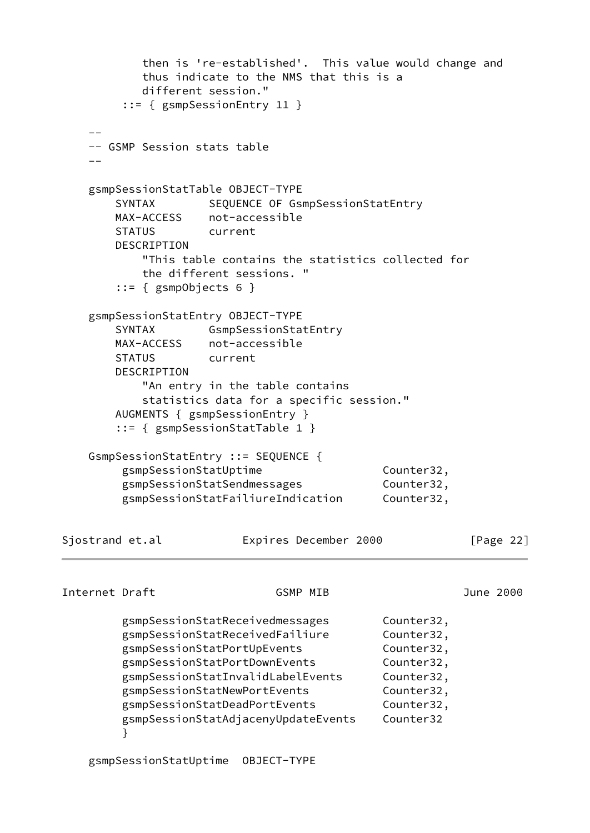|                 |                                                                          | then is 're-established'. This value would change and<br>thus indicate to the NMS that this is a<br>different session."<br>$::=$ { gsmpSessionEntry 11 }                                                                                                                        |                                  |                                                                                                             |              |
|-----------------|--------------------------------------------------------------------------|---------------------------------------------------------------------------------------------------------------------------------------------------------------------------------------------------------------------------------------------------------------------------------|----------------------------------|-------------------------------------------------------------------------------------------------------------|--------------|
|                 | -- GSMP Session stats table                                              |                                                                                                                                                                                                                                                                                 |                                  |                                                                                                             |              |
|                 |                                                                          |                                                                                                                                                                                                                                                                                 |                                  |                                                                                                             |              |
|                 | <b>SYNTAX</b><br><b>STATUS</b><br>DESCRIPTION<br>$::= {$ gsmpObjects 6 } | gsmpSessionStatTable OBJECT-TYPE<br>MAX-ACCESS not-accessible<br>current<br>"This table contains the statistics collected for<br>the different sessions. "                                                                                                                      | SEQUENCE OF GsmpSessionStatEntry |                                                                                                             |              |
|                 | SYNTAX<br><b>STATUS</b><br>DESCRIPTION                                   | gsmpSessionStatEntry OBJECT-TYPE<br>GsmpSessionStatEntry<br>MAX-ACCESS not-accessible<br>current<br>"An entry in the table contains<br>statistics data for a specific session."<br>AUGMENTS { gsmpSessionEntry }<br>$::= {$ gsmpSessionStatTable 1 }                            |                                  |                                                                                                             |              |
|                 | gsmpSessionStatUptime                                                    | GsmpSessionStatEntry ::= SEQUENCE {<br>gsmpSessionStatSendmessages<br>gsmpSessionStatFailiureIndication                                                                                                                                                                         |                                  | Counter32,<br>Counter32,<br>Counter32,                                                                      |              |
| Sjostrand et.al |                                                                          |                                                                                                                                                                                                                                                                                 | Expires December 2000            |                                                                                                             | [Page $22$ ] |
| Internet Draft  |                                                                          |                                                                                                                                                                                                                                                                                 | <b>GSMP MIB</b>                  |                                                                                                             | June 2000    |
|                 | }                                                                        | gsmpSessionStatReceivedmessages<br>gsmpSessionStatReceivedFailiure<br>gsmpSessionStatPortUpEvents<br>gsmpSessionStatPortDownEvents<br>gsmpSessionStatInvalidLabelEvents<br>gsmpSessionStatNewPortEvents<br>gsmpSessionStatDeadPortEvents<br>gsmpSessionStatAdjacenyUpdateEvents |                                  | Counter32,<br>Counter32,<br>Counter32,<br>Counter32,<br>Counter32,<br>Counter32,<br>Counter32,<br>Counter32 |              |

gsmpSessionStatUptime OBJECT-TYPE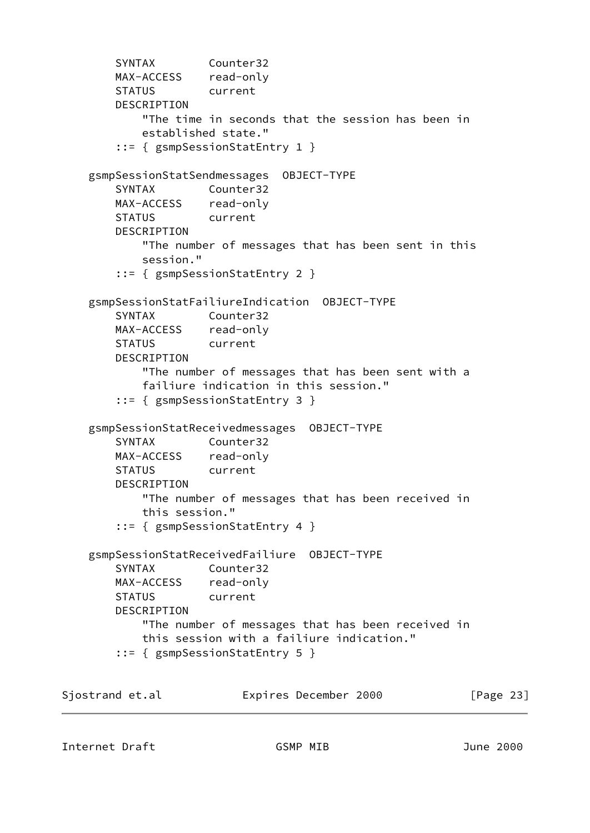```
 SYNTAX Counter32
        MAX-ACCESS read-only
        STATUS current
        DESCRIPTION
            "The time in seconds that the session has been in
            established state."
        ::= { gsmpSessionStatEntry 1 }
    gsmpSessionStatSendmessages OBJECT-TYPE
        SYNTAX Counter32
        MAX-ACCESS read-only
        STATUS current
        DESCRIPTION
            "The number of messages that has been sent in this
            session."
        ::= { gsmpSessionStatEntry 2 }
    gsmpSessionStatFailiureIndication OBJECT-TYPE
        SYNTAX Counter32
        MAX-ACCESS read-only
        STATUS current
        DESCRIPTION
            "The number of messages that has been sent with a
            failiure indication in this session."
        ::= { gsmpSessionStatEntry 3 }
    gsmpSessionStatReceivedmessages OBJECT-TYPE
        SYNTAX Counter32
        MAX-ACCESS read-only
        STATUS current
        DESCRIPTION
            "The number of messages that has been received in
            this session."
        ::= { gsmpSessionStatEntry 4 }
    gsmpSessionStatReceivedFailiure OBJECT-TYPE
        SYNTAX Counter32
        MAX-ACCESS read-only
        STATUS current
        DESCRIPTION
            "The number of messages that has been received in
            this session with a failiure indication."
        ::= { gsmpSessionStatEntry 5 }
Sjostrand et.al Expires December 2000 [Page 23]
```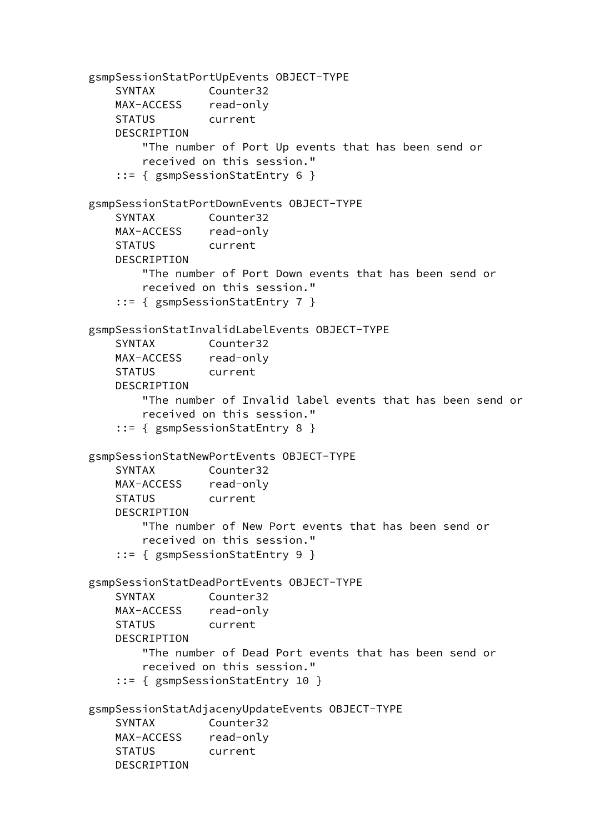```
 gsmpSessionStatPortUpEvents OBJECT-TYPE
    SYNTAX Counter32
    MAX-ACCESS read-only
    STATUS current
    DESCRIPTION
        "The number of Port Up events that has been send or
        received on this session."
     ::= { gsmpSessionStatEntry 6 }
 gsmpSessionStatPortDownEvents OBJECT-TYPE
    SYNTAX Counter32
    MAX-ACCESS read-only
    STATUS current
    DESCRIPTION
        "The number of Port Down events that has been send or
        received on this session."
     ::= { gsmpSessionStatEntry 7 }
 gsmpSessionStatInvalidLabelEvents OBJECT-TYPE
    SYNTAX Counter32
    MAX-ACCESS read-only
    STATUS current
    DESCRIPTION
        "The number of Invalid label events that has been send or
        received on this session."
     ::= { gsmpSessionStatEntry 8 }
 gsmpSessionStatNewPortEvents OBJECT-TYPE
    SYNTAX Counter32
    MAX-ACCESS read-only
    STATUS current
    DESCRIPTION
        "The number of New Port events that has been send or
        received on this session."
     ::= { gsmpSessionStatEntry 9 }
 gsmpSessionStatDeadPortEvents OBJECT-TYPE
    SYNTAX Counter32
    MAX-ACCESS read-only
    STATUS current
    DESCRIPTION
        "The number of Dead Port events that has been send or
        received on this session."
     ::= { gsmpSessionStatEntry 10 }
 gsmpSessionStatAdjacenyUpdateEvents OBJECT-TYPE
    SYNTAX Counter32
    MAX-ACCESS read-only
    STATUS current
    DESCRIPTION
```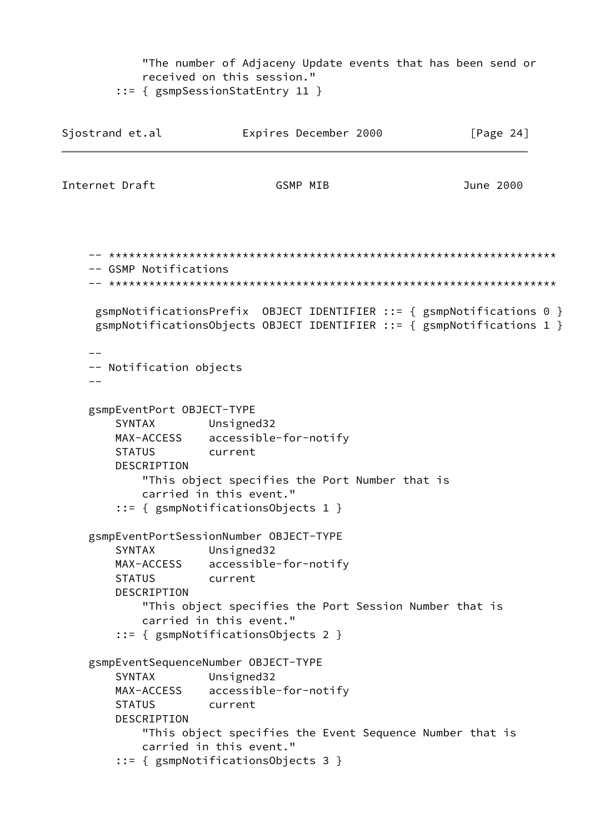"The number of Adjaceny Update events that has been send or received on this session." ::= { gsmpSessionStatEntry 11 } Sjostrand et.al **Expires December 2000** [Page 24] Internet Draft GSMP MIB June 2000 -- \*\*\*\*\*\*\*\*\*\*\*\*\*\*\*\*\*\*\*\*\*\*\*\*\*\*\*\*\*\*\*\*\*\*\*\*\*\*\*\*\*\*\*\*\*\*\*\*\*\*\*\*\*\*\*\*\*\*\*\*\*\*\*\*\*\*\* -- GSMP Notifications -- \*\*\*\*\*\*\*\*\*\*\*\*\*\*\*\*\*\*\*\*\*\*\*\*\*\*\*\*\*\*\*\*\*\*\*\*\*\*\*\*\*\*\*\*\*\*\*\*\*\*\*\*\*\*\*\*\*\*\*\*\*\*\*\*\*\*\* gsmpNotificationsPrefix OBJECT IDENTIFIER ::= { gsmpNotifications 0 } gsmpNotificationsObjects OBJECT IDENTIFIER ::= { gsmpNotifications 1 } -- -- Notification objects  $$  gsmpEventPort OBJECT-TYPE SYNTAX Unsigned32 MAX-ACCESS accessible-for-notify STATUS current DESCRIPTION "This object specifies the Port Number that is carried in this event." ::= { gsmpNotificationsObjects 1 } gsmpEventPortSessionNumber OBJECT-TYPE SYNTAX Unsigned32 MAX-ACCESS accessible-for-notify STATUS current DESCRIPTION "This object specifies the Port Session Number that is carried in this event." ::= { gsmpNotificationsObjects 2 } gsmpEventSequenceNumber OBJECT-TYPE SYNTAX Unsigned32 MAX-ACCESS accessible-for-notify STATUS current DESCRIPTION "This object specifies the Event Sequence Number that is carried in this event." ::= { gsmpNotificationsObjects 3 }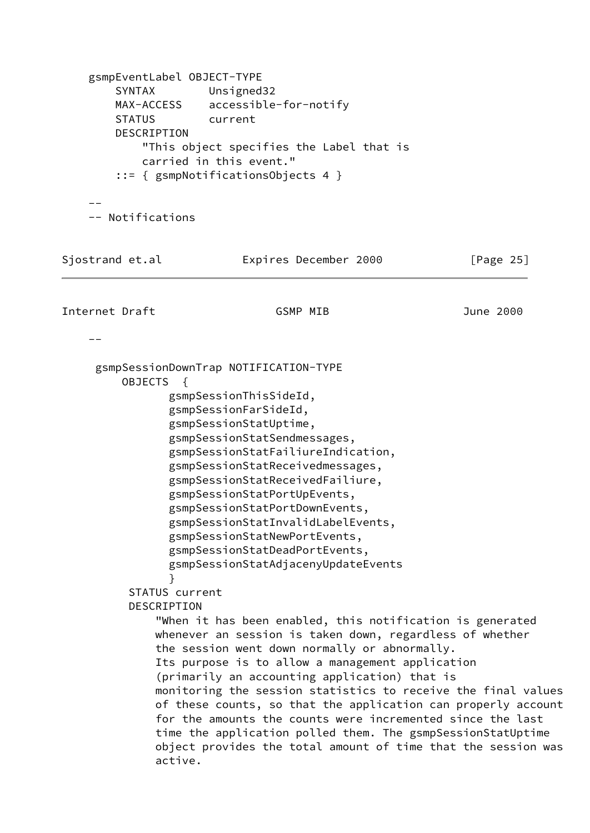```
 gsmpEventLabel OBJECT-TYPE
        SYNTAX Unsigned32
        MAX-ACCESS accessible-for-notify
        STATUS current
        DESCRIPTION
            "This object specifies the Label that is
            carried in this event."
         ::= { gsmpNotificationsObjects 4 }
 --
     -- Notifications
Sjostrand et.al Expires December 2000 [Page 25]
Internet Draft GSMP MIB June 2000
 --
     gsmpSessionDownTrap NOTIFICATION-TYPE
         OBJECTS {
                gsmpSessionThisSideId,
                gsmpSessionFarSideId,
                gsmpSessionStatUptime,
                gsmpSessionStatSendmessages,
                gsmpSessionStatFailiureIndication,
                gsmpSessionStatReceivedmessages,
                gsmpSessionStatReceivedFailiure,
                gsmpSessionStatPortUpEvents,
                gsmpSessionStatPortDownEvents,
                gsmpSessionStatInvalidLabelEvents,
                gsmpSessionStatNewPortEvents,
                gsmpSessionStatDeadPortEvents,
                gsmpSessionStatAdjacenyUpdateEvents
 }
          STATUS current
          DESCRIPTION
              "When it has been enabled, this notification is generated
              whenever an session is taken down, regardless of whether
              the session went down normally or abnormally.
              Its purpose is to allow a management application
              (primarily an accounting application) that is
              monitoring the session statistics to receive the final values
              of these counts, so that the application can properly account
              for the amounts the counts were incremented since the last
              time the application polled them. The gsmpSessionStatUptime
              object provides the total amount of time that the session was
              active.
```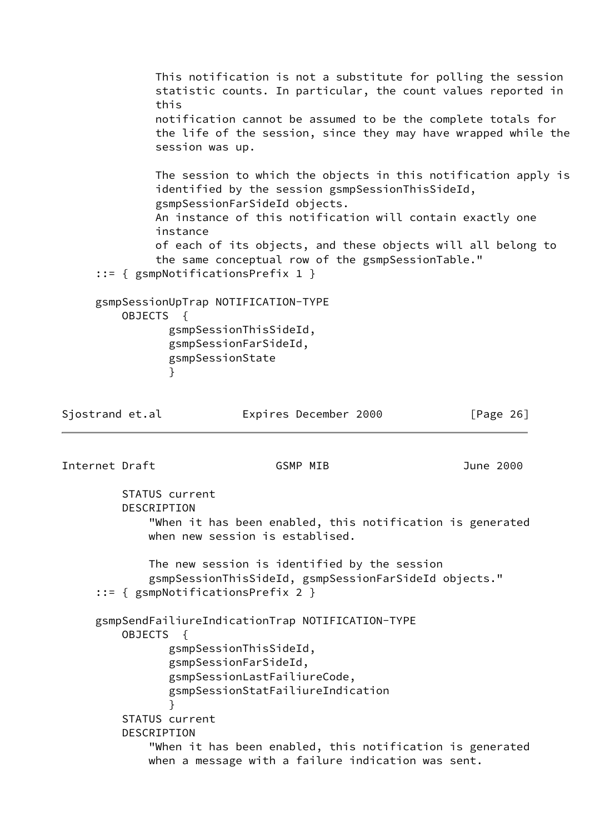This notification is not a substitute for polling the session statistic counts. In particular, the count values reported in this notification cannot be assumed to be the complete totals for the life of the session, since they may have wrapped while the session was up. The session to which the objects in this notification apply is identified by the session gsmpSessionThisSideId, gsmpSessionFarSideId objects. An instance of this notification will contain exactly one instance of each of its objects, and these objects will all belong to the same conceptual row of the gsmpSessionTable." ::= { gsmpNotificationsPrefix 1 } gsmpSessionUpTrap NOTIFICATION-TYPE OBJECTS { gsmpSessionThisSideId, gsmpSessionFarSideId, gsmpSessionState } Sjostrand et.al **Expires December 2000** [Page 26] Internet Draft GSMP MIB June 2000 STATUS current DESCRIPTION "When it has been enabled, this notification is generated when new session is establised. The new session is identified by the session gsmpSessionThisSideId, gsmpSessionFarSideId objects." ::= { gsmpNotificationsPrefix 2 } gsmpSendFailiureIndicationTrap NOTIFICATION-TYPE OBJECTS { gsmpSessionThisSideId, gsmpSessionFarSideId, gsmpSessionLastFailiureCode, gsmpSessionStatFailiureIndication } STATUS current DESCRIPTION "When it has been enabled, this notification is generated when a message with a failure indication was sent.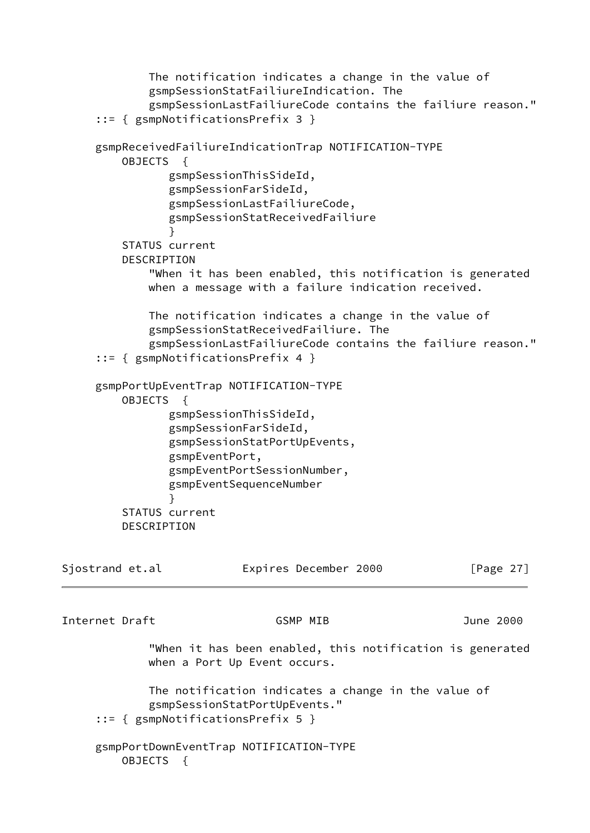```
 The notification indicates a change in the value of
             gsmpSessionStatFailiureIndication. The
              gsmpSessionLastFailiureCode contains the failiure reason."
      ::= { gsmpNotificationsPrefix 3 }
      gsmpReceivedFailiureIndicationTrap NOTIFICATION-TYPE
         OBJECTS {
                gsmpSessionThisSideId,
                 gsmpSessionFarSideId,
                 gsmpSessionLastFailiureCode,
                 gsmpSessionStatReceivedFailiure
 }
          STATUS current
          DESCRIPTION
              "When it has been enabled, this notification is generated
             when a message with a failure indication received.
             The notification indicates a change in the value of
              gsmpSessionStatReceivedFailiure. The
              gsmpSessionLastFailiureCode contains the failiure reason."
      ::= { gsmpNotificationsPrefix 4 }
     gsmpPortUpEventTrap NOTIFICATION-TYPE
         OBJECTS {
                gsmpSessionThisSideId,
                 gsmpSessionFarSideId,
                 gsmpSessionStatPortUpEvents,
                 gsmpEventPort,
                 gsmpEventPortSessionNumber,
                 gsmpEventSequenceNumber
 }
          STATUS current
          DESCRIPTION
Sjostrand et.al               Expires December 2000             [Page 27]
Internet Draft GSMP MIB June 2000
              "When it has been enabled, this notification is generated
             when a Port Up Event occurs.
             The notification indicates a change in the value of
              gsmpSessionStatPortUpEvents."
      ::= { gsmpNotificationsPrefix 5 }
      gsmpPortDownEventTrap NOTIFICATION-TYPE
         OBJECTS {
```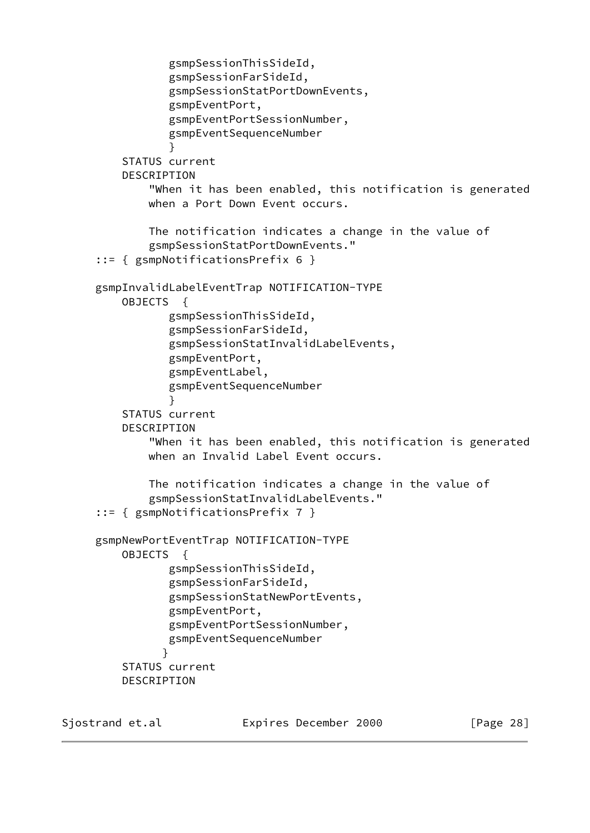```
 gsmpSessionThisSideId,
                 gsmpSessionFarSideId,
                 gsmpSessionStatPortDownEvents,
                 gsmpEventPort,
                 gsmpEventPortSessionNumber,
                 gsmpEventSequenceNumber
 }
          STATUS current
          DESCRIPTION
              "When it has been enabled, this notification is generated
              when a Port Down Event occurs.
              The notification indicates a change in the value of
              gsmpSessionStatPortDownEvents."
      ::= { gsmpNotificationsPrefix 6 }
     gsmpInvalidLabelEventTrap NOTIFICATION-TYPE
         OBJECTS {
                 gsmpSessionThisSideId,
                 gsmpSessionFarSideId,
                 gsmpSessionStatInvalidLabelEvents,
                 gsmpEventPort,
                 gsmpEventLabel,
                 gsmpEventSequenceNumber
 }
          STATUS current
          DESCRIPTION
              "When it has been enabled, this notification is generated
             when an Invalid Label Event occurs.
              The notification indicates a change in the value of
              gsmpSessionStatInvalidLabelEvents."
      ::= { gsmpNotificationsPrefix 7 }
     gsmpNewPortEventTrap NOTIFICATION-TYPE
         OBJECTS {
                 gsmpSessionThisSideId,
                 gsmpSessionFarSideId,
                 gsmpSessionStatNewPortEvents,
                 gsmpEventPort,
                 gsmpEventPortSessionNumber,
                 gsmpEventSequenceNumber
 }
          STATUS current
         DESCRIPTION
```
Sjostrand et.al **Expires December 2000** [Page 28]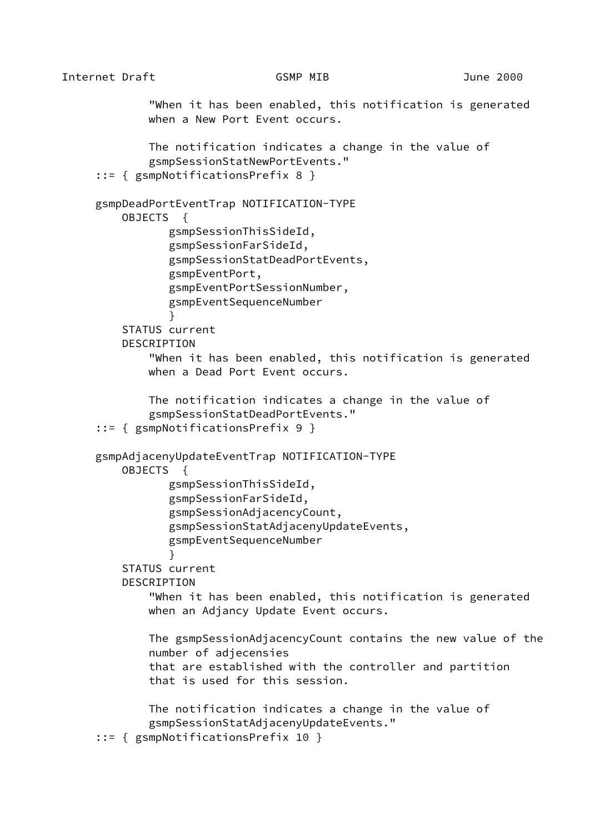Internet Draft GSMP MIB June 2000 "When it has been enabled, this notification is generated when a New Port Event occurs. The notification indicates a change in the value of gsmpSessionStatNewPortEvents." ::= { gsmpNotificationsPrefix 8 } gsmpDeadPortEventTrap NOTIFICATION-TYPE OBJECTS { gsmpSessionThisSideId, gsmpSessionFarSideId, gsmpSessionStatDeadPortEvents, gsmpEventPort, gsmpEventPortSessionNumber, gsmpEventSequenceNumber } STATUS current DESCRIPTION "When it has been enabled, this notification is generated when a Dead Port Event occurs. The notification indicates a change in the value of gsmpSessionStatDeadPortEvents." ::= { gsmpNotificationsPrefix 9 } gsmpAdjacenyUpdateEventTrap NOTIFICATION-TYPE OBJECTS { gsmpSessionThisSideId, gsmpSessionFarSideId, gsmpSessionAdjacencyCount, gsmpSessionStatAdjacenyUpdateEvents, gsmpEventSequenceNumber } STATUS current DESCRIPTION "When it has been enabled, this notification is generated

> The gsmpSessionAdjacencyCount contains the new value of the number of adjecensies that are established with the controller and partition that is used for this session.

 The notification indicates a change in the value of gsmpSessionStatAdjacenyUpdateEvents."

when an Adjancy Update Event occurs.

```
 ::= { gsmpNotificationsPrefix 10 }
```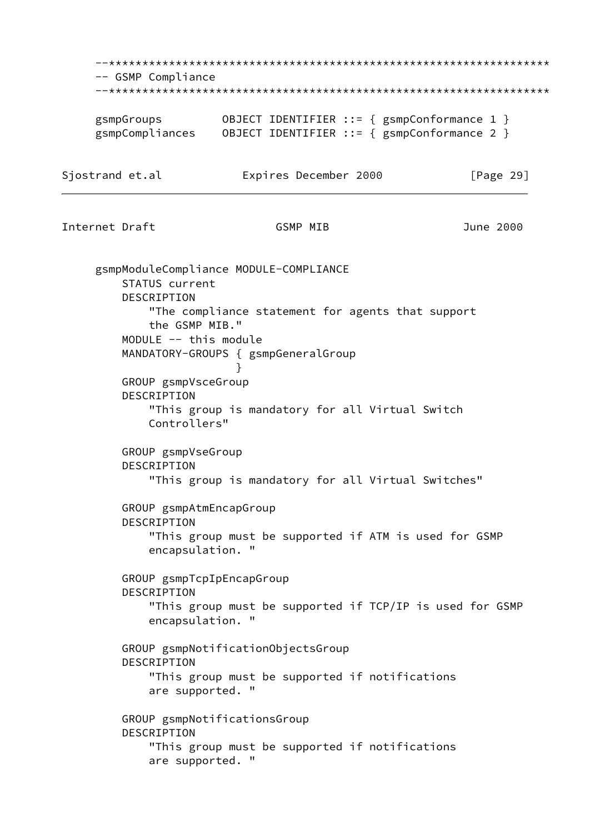--\*\*\*\*\*\*\*\*\*\*\*\*\*\*\*\*\*\*\*\*\*\*\*\*\*\*\*\*\*\*\*\*\*\*\*\*\*\*\*\*\*\*\*\*\*\*\*\*\*\*\*\*\*\*\*\*\*\*\*\*\*\*\*\*\*\* -- GSMP Compliance --\*\*\*\*\*\*\*\*\*\*\*\*\*\*\*\*\*\*\*\*\*\*\*\*\*\*\*\*\*\*\*\*\*\*\*\*\*\*\*\*\*\*\*\*\*\*\*\*\*\*\*\*\*\*\*\*\*\*\*\*\*\*\*\*\*\* gsmpGroups 0BJECT IDENTIFIER ::= { gsmpConformance 1 } gsmpCompliances OBJECT IDENTIFIER ::= { gsmpConformance 2 } Sjostrand et.al **Expires December 2000** [Page 29] Internet Draft GSMP MIB June 2000 gsmpModuleCompliance MODULE-COMPLIANCE STATUS current DESCRIPTION "The compliance statement for agents that support the GSMP MIB." MODULE -- this module MANDATORY-GROUPS { gsmpGeneralGroup } GROUP gsmpVsceGroup DESCRIPTION "This group is mandatory for all Virtual Switch Controllers" GROUP gsmpVseGroup DESCRIPTION "This group is mandatory for all Virtual Switches" GROUP gsmpAtmEncapGroup DESCRIPTION "This group must be supported if ATM is used for GSMP encapsulation. " GROUP gsmpTcpIpEncapGroup DESCRIPTION "This group must be supported if TCP/IP is used for GSMP encapsulation. " GROUP gsmpNotificationObjectsGroup DESCRIPTION "This group must be supported if notifications are supported. " GROUP gsmpNotificationsGroup DESCRIPTION "This group must be supported if notifications are supported. "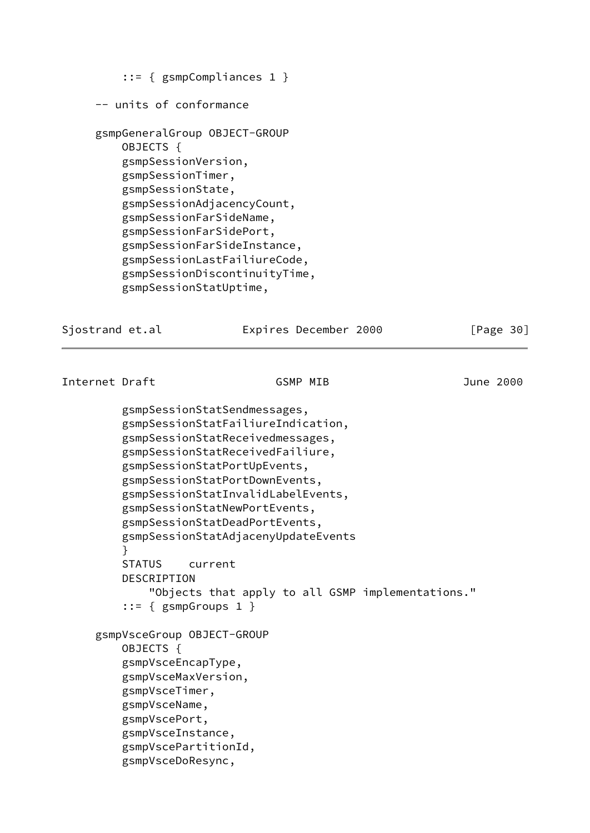```
 ::= { gsmpCompliances 1 }
 -- units of conformance
 gsmpGeneralGroup OBJECT-GROUP
     OBJECTS {
     gsmpSessionVersion,
     gsmpSessionTimer,
     gsmpSessionState,
     gsmpSessionAdjacencyCount,
     gsmpSessionFarSideName,
     gsmpSessionFarSidePort,
     gsmpSessionFarSideInstance,
     gsmpSessionLastFailiureCode,
     gsmpSessionDiscontinuityTime,
     gsmpSessionStatUptime,
```
Sjostrand et.al **Expires December 2000** [Page 30]

# Internet Draft GSMP MIB June 2000

 gsmpSessionStatSendmessages, gsmpSessionStatFailiureIndication, gsmpSessionStatReceivedmessages, gsmpSessionStatReceivedFailiure, gsmpSessionStatPortUpEvents, gsmpSessionStatPortDownEvents, gsmpSessionStatInvalidLabelEvents, gsmpSessionStatNewPortEvents, gsmpSessionStatDeadPortEvents, gsmpSessionStatAdjacenyUpdateEvents } STATUS current DESCRIPTION "Objects that apply to all GSMP implementations." ::= { gsmpGroups 1 } gsmpVsceGroup OBJECT-GROUP OBJECTS { gsmpVsceEncapType, gsmpVsceMaxVersion, gsmpVsceTimer, gsmpVsceName, gsmpVscePort, gsmpVsceInstance, gsmpVscePartitionId, gsmpVsceDoResync,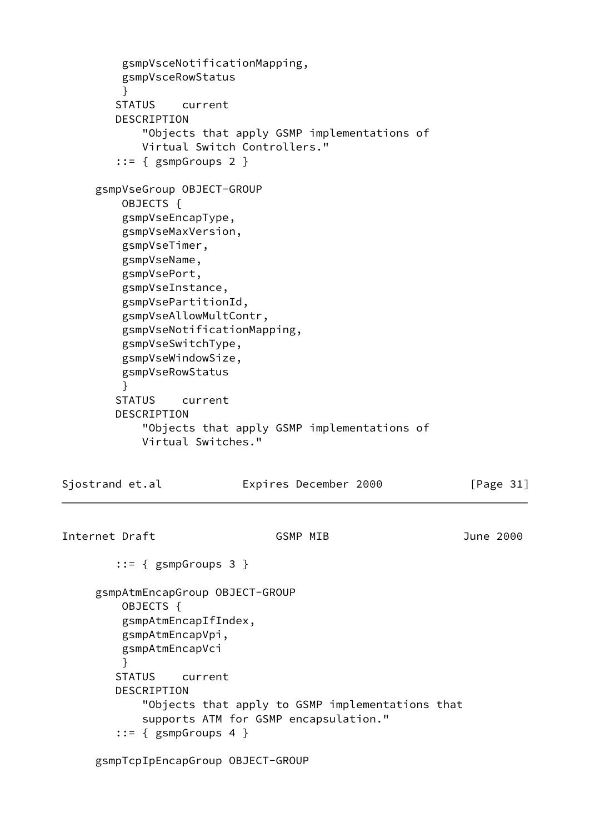```
 gsmpVsceNotificationMapping,
         gsmpVsceRowStatus
 }
        STATUS current
        DESCRIPTION
            "Objects that apply GSMP implementations of
            Virtual Switch Controllers."
        ::= { gsmpGroups 2 }
     gsmpVseGroup OBJECT-GROUP
         OBJECTS {
         gsmpVseEncapType,
         gsmpVseMaxVersion,
         gsmpVseTimer,
         gsmpVseName,
         gsmpVsePort,
         gsmpVseInstance,
         gsmpVsePartitionId,
         gsmpVseAllowMultContr,
         gsmpVseNotificationMapping,
         gsmpVseSwitchType,
         gsmpVseWindowSize,
         gsmpVseRowStatus
         }
        STATUS current
        DESCRIPTION
            "Objects that apply GSMP implementations of
            Virtual Switches."
Sjostrand et.al Expires December 2000 [Page 31]
Internet Draft GSMP MIB June 2000
         ::= { gsmpGroups 3 }
     gsmpAtmEncapGroup OBJECT-GROUP
         OBJECTS {
         gsmpAtmEncapIfIndex,
         gsmpAtmEncapVpi,
         gsmpAtmEncapVci
 }
        STATUS current
        DESCRIPTION
            "Objects that apply to GSMP implementations that
            supports ATM for GSMP encapsulation."
         ::= { gsmpGroups 4 }
```
gsmpTcpIpEncapGroup OBJECT-GROUP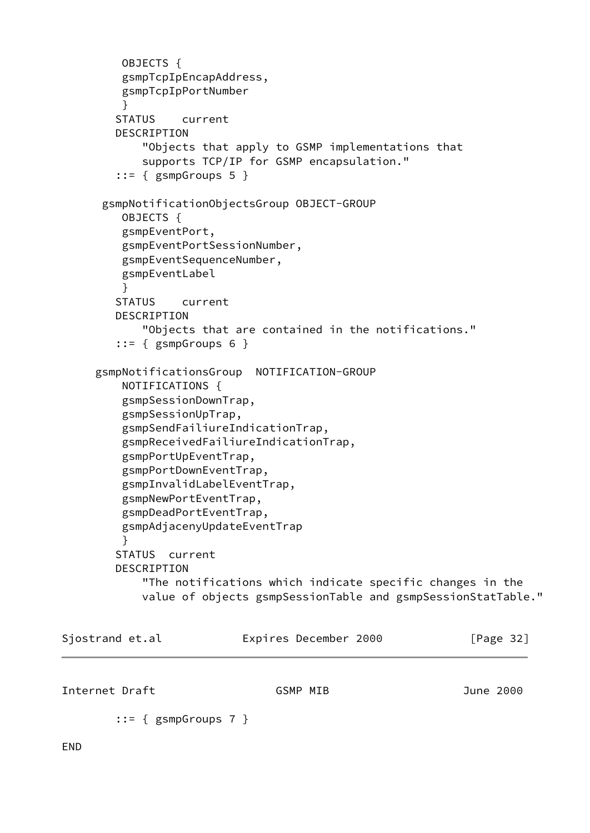```
 OBJECTS {
         gsmpTcpIpEncapAddress,
         gsmpTcpIpPortNumber
 }
        STATUS current
        DESCRIPTION
            "Objects that apply to GSMP implementations that
            supports TCP/IP for GSMP encapsulation."
       ::= { gsmpGroups 5 }
      gsmpNotificationObjectsGroup OBJECT-GROUP
         OBJECTS {
         gsmpEventPort,
         gsmpEventPortSessionNumber,
         gsmpEventSequenceNumber,
         gsmpEventLabel
 }
        STATUS current
        DESCRIPTION
            "Objects that are contained in the notifications."
       ::= { gsmpGroups 6 }
     gsmpNotificationsGroup NOTIFICATION-GROUP
         NOTIFICATIONS {
         gsmpSessionDownTrap,
         gsmpSessionUpTrap,
         gsmpSendFailiureIndicationTrap,
         gsmpReceivedFailiureIndicationTrap,
         gsmpPortUpEventTrap,
         gsmpPortDownEventTrap,
         gsmpInvalidLabelEventTrap,
         gsmpNewPortEventTrap,
         gsmpDeadPortEventTrap,
         gsmpAdjacenyUpdateEventTrap
 }
        STATUS current
        DESCRIPTION
            "The notifications which indicate specific changes in the
            value of objects gsmpSessionTable and gsmpSessionStatTable."
Sjostrand et.al Expires December 2000 [Page 32]
Internet Draft GSMP MIB June 2000
       ::= { gsmpGroups 7 }
```
<span id="page-37-0"></span>END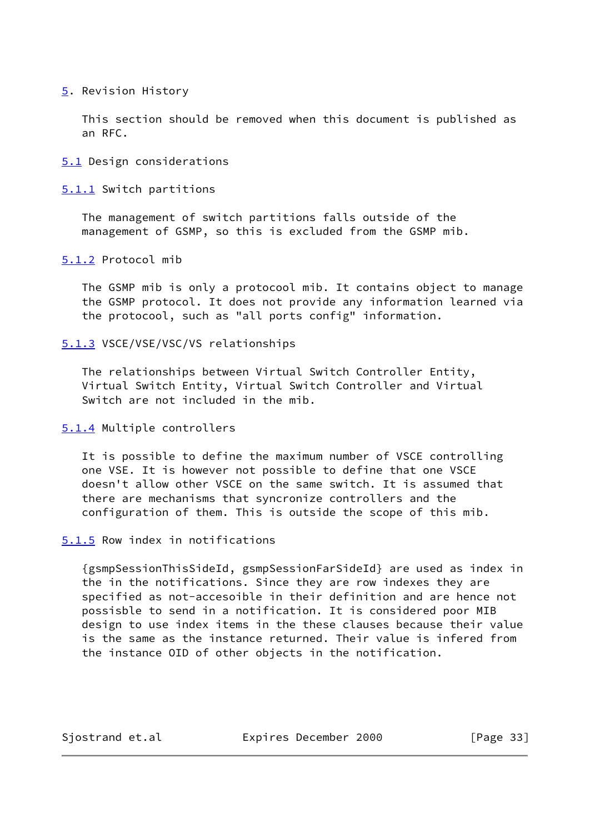# <span id="page-38-0"></span>[5](#page-38-0). Revision History

 This section should be removed when this document is published as an RFC.

### <span id="page-38-1"></span>[5.1](#page-38-1) Design considerations

<span id="page-38-2"></span>[5.1.1](#page-38-2) Switch partitions

 The management of switch partitions falls outside of the management of GSMP, so this is excluded from the GSMP mib.

### <span id="page-38-3"></span>[5.1.2](#page-38-3) Protocol mib

 The GSMP mib is only a protocool mib. It contains object to manage the GSMP protocol. It does not provide any information learned via the protocool, such as "all ports config" information.

### <span id="page-38-4"></span>[5.1.3](#page-38-4) VSCE/VSE/VSC/VS relationships

 The relationships between Virtual Switch Controller Entity, Virtual Switch Entity, Virtual Switch Controller and Virtual Switch are not included in the mib.

# <span id="page-38-5"></span>[5.1.4](#page-38-5) Multiple controllers

 It is possible to define the maximum number of VSCE controlling one VSE. It is however not possible to define that one VSCE doesn't allow other VSCE on the same switch. It is assumed that there are mechanisms that syncronize controllers and the configuration of them. This is outside the scope of this mib.

#### <span id="page-38-6"></span>[5.1.5](#page-38-6) Row index in notifications

 {gsmpSessionThisSideId, gsmpSessionFarSideId} are used as index in the in the notifications. Since they are row indexes they are specified as not-accesoible in their definition and are hence not possisble to send in a notification. It is considered poor MIB design to use index items in the these clauses because their value is the same as the instance returned. Their value is infered from the instance OID of other objects in the notification.

Sjostrand et.al **Expires December 2000** [Page 33]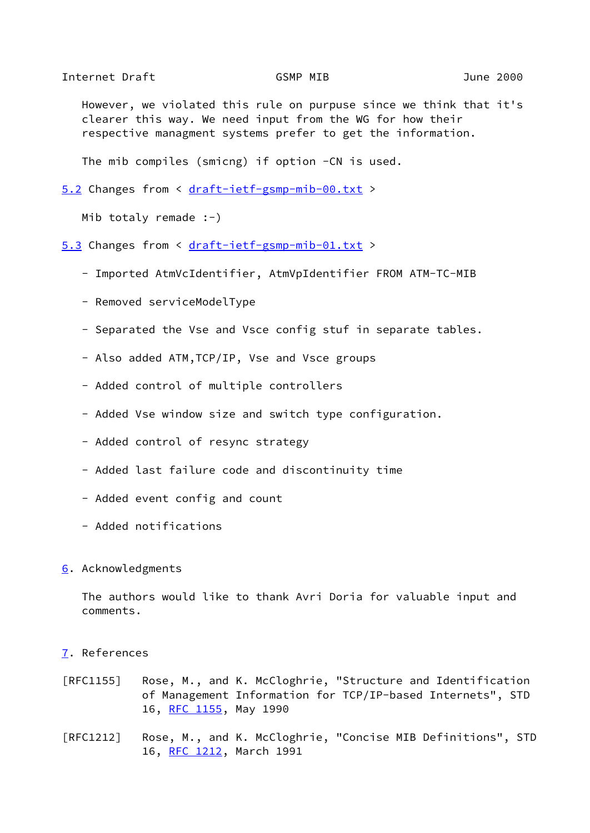<span id="page-39-1"></span>Internet Draft GSMP MIB June 2000

 However, we violated this rule on purpuse since we think that it's clearer this way. We need input from the WG for how their respective managment systems prefer to get the information.

The mib compiles (smicng) if option -CN is used.

```
5.2 Changes from < draft-ietf-gsmp-mib-00.txt >
```
Mib totaly remade :-)

- <span id="page-39-2"></span>[5.3](#page-39-2) Changes from < [draft-ietf-gsmp-mib-01.txt](https://datatracker.ietf.org/doc/pdf/draft-ietf-gsmp-mib-01.txt) >
	- Imported AtmVcIdentifier, AtmVpIdentifier FROM ATM-TC-MIB
	- Removed serviceModelType
	- Separated the Vse and Vsce config stuf in separate tables.
	- Also added ATM,TCP/IP, Vse and Vsce groups
	- Added control of multiple controllers
	- Added Vse window size and switch type configuration.
	- Added control of resync strategy
	- Added last failure code and discontinuity time
	- Added event config and count
	- Added notifications

#### <span id="page-39-3"></span>[6](#page-39-3). Acknowledgments

 The authors would like to thank Avri Doria for valuable input and comments.

#### <span id="page-39-4"></span>[7](#page-39-4). References

- [RFC1155] Rose, M., and K. McCloghrie, "Structure and Identification of Management Information for TCP/IP-based Internets", STD 16, [RFC 1155](https://datatracker.ietf.org/doc/pdf/rfc1155), May 1990
- [RFC1212] Rose, M., and K. McCloghrie, "Concise MIB Definitions", STD 16, [RFC 1212](https://datatracker.ietf.org/doc/pdf/rfc1212), March 1991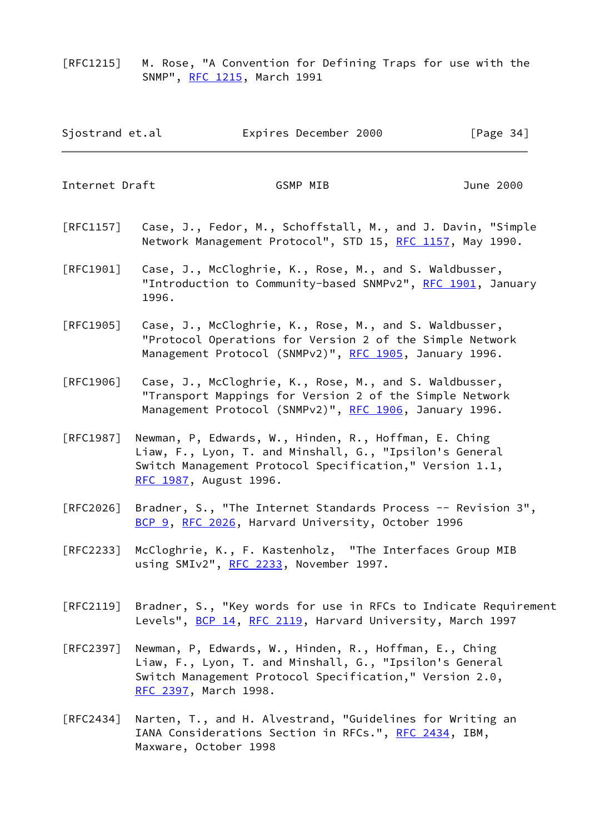[RFC1215] M. Rose, "A Convention for Defining Traps for use with the SNMP", [RFC 1215](https://datatracker.ietf.org/doc/pdf/rfc1215), March 1991

| Sjostrand et.al | Expires December 2000 | [Page $34$ ] |
|-----------------|-----------------------|--------------|
|-----------------|-----------------------|--------------|

Internet Draft GSMP MIB June 2000

- [RFC1157] Case, J., Fedor, M., Schoffstall, M., and J. Davin, "Simple Network Management Protocol", STD 15, [RFC 1157,](https://datatracker.ietf.org/doc/pdf/rfc1157) May 1990.
- [RFC1901] Case, J., McCloghrie, K., Rose, M., and S. Waldbusser, "Introduction to Community-based SNMPv2", [RFC 1901,](https://datatracker.ietf.org/doc/pdf/rfc1901) January 1996.
- [RFC1905] Case, J., McCloghrie, K., Rose, M., and S. Waldbusser, "Protocol Operations for Version 2 of the Simple Network Management Protocol (SNMPv2)", [RFC 1905](https://datatracker.ietf.org/doc/pdf/rfc1905), January 1996.
- [RFC1906] Case, J., McCloghrie, K., Rose, M., and S. Waldbusser, "Transport Mappings for Version 2 of the Simple Network Management Protocol (SNMPv2)", [RFC 1906](https://datatracker.ietf.org/doc/pdf/rfc1906), January 1996.
- [RFC1987] Newman, P, Edwards, W., Hinden, R., Hoffman, E. Ching Liaw, F., Lyon, T. and Minshall, G., "Ipsilon's General Switch Management Protocol Specification," Version 1.1, [RFC 1987](https://datatracker.ietf.org/doc/pdf/rfc1987), August 1996.
- [RFC2026] Bradner, S., "The Internet Standards Process -- Revision 3", [BCP 9](https://datatracker.ietf.org/doc/pdf/bcp9), [RFC 2026,](https://datatracker.ietf.org/doc/pdf/rfc2026) Harvard University, October 1996
- [RFC2233] McCloghrie, K., F. Kastenholz, "The Interfaces Group MIB using SMIv2", [RFC 2233](https://datatracker.ietf.org/doc/pdf/rfc2233), November 1997.
- [RFC2119] Bradner, S., "Key words for use in RFCs to Indicate Requirement Levels", [BCP 14](https://datatracker.ietf.org/doc/pdf/bcp14), [RFC 2119](https://datatracker.ietf.org/doc/pdf/rfc2119), Harvard University, March 1997
- [RFC2397] Newman, P, Edwards, W., Hinden, R., Hoffman, E., Ching Liaw, F., Lyon, T. and Minshall, G., "Ipsilon's General Switch Management Protocol Specification," Version 2.0, [RFC 2397](https://datatracker.ietf.org/doc/pdf/rfc2397), March 1998.
- [RFC2434] Narten, T., and H. Alvestrand, "Guidelines for Writing an IANA Considerations Section in RFCs.", [RFC 2434,](https://datatracker.ietf.org/doc/pdf/rfc2434) IBM, Maxware, October 1998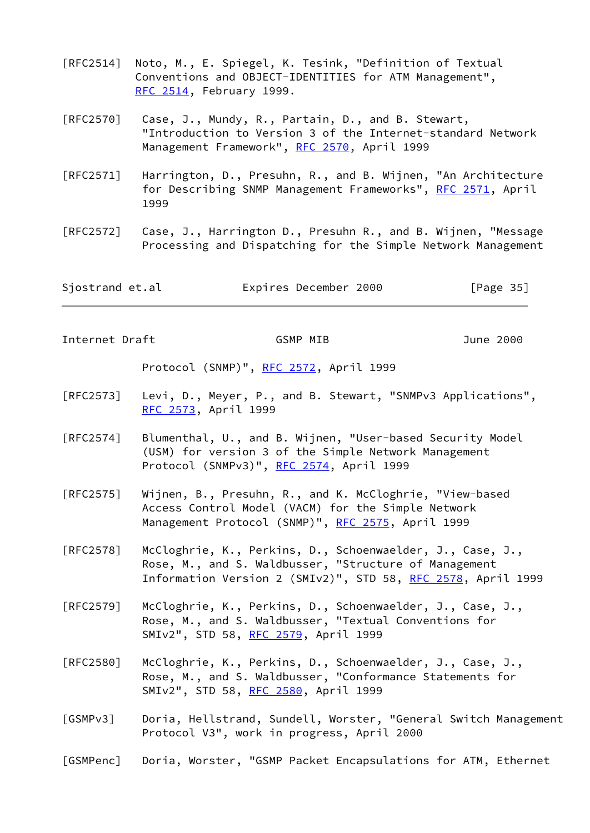- [RFC2514] Noto, M., E. Spiegel, K. Tesink, "Definition of Textual Conventions and OBJECT-IDENTITIES for ATM Management", [RFC 2514](https://datatracker.ietf.org/doc/pdf/rfc2514), February 1999.
- [RFC2570] Case, J., Mundy, R., Partain, D., and B. Stewart, "Introduction to Version 3 of the Internet-standard Network Management Framework", [RFC 2570](https://datatracker.ietf.org/doc/pdf/rfc2570), April 1999
- [RFC2571] Harrington, D., Presuhn, R., and B. Wijnen, "An Architecture for Describing SNMP Management Frameworks", [RFC 2571](https://datatracker.ietf.org/doc/pdf/rfc2571), April 1999
- [RFC2572] Case, J., Harrington D., Presuhn R., and B. Wijnen, "Message Processing and Dispatching for the Simple Network Management

| Sjostrand et.al | Expires December 2000 | [Page 35] |
|-----------------|-----------------------|-----------|
|-----------------|-----------------------|-----------|

<span id="page-41-0"></span>Internet Draft GSMP MIB June 2000

Protocol (SNMP)", [RFC 2572,](https://datatracker.ietf.org/doc/pdf/rfc2572) April 1999

- [RFC2573] Levi, D., Meyer, P., and B. Stewart, "SNMPv3 Applications", [RFC 2573](https://datatracker.ietf.org/doc/pdf/rfc2573), April 1999
- [RFC2574] Blumenthal, U., and B. Wijnen, "User-based Security Model (USM) for version 3 of the Simple Network Management Protocol (SNMPv3)", [RFC 2574](https://datatracker.ietf.org/doc/pdf/rfc2574), April 1999
- [RFC2575] Wijnen, B., Presuhn, R., and K. McCloghrie, "View-based Access Control Model (VACM) for the Simple Network Management Protocol (SNMP)", [RFC 2575](https://datatracker.ietf.org/doc/pdf/rfc2575), April 1999
- [RFC2578] McCloghrie, K., Perkins, D., Schoenwaelder, J., Case, J., Rose, M., and S. Waldbusser, "Structure of Management Information Version 2 (SMIv2)", STD 58, [RFC 2578](https://datatracker.ietf.org/doc/pdf/rfc2578), April 1999
- [RFC2579] McCloghrie, K., Perkins, D., Schoenwaelder, J., Case, J., Rose, M., and S. Waldbusser, "Textual Conventions for SMIv2", STD 58, [RFC 2579](https://datatracker.ietf.org/doc/pdf/rfc2579), April 1999
- [RFC2580] McCloghrie, K., Perkins, D., Schoenwaelder, J., Case, J., Rose, M., and S. Waldbusser, "Conformance Statements for SMIv2", STD 58, [RFC 2580](https://datatracker.ietf.org/doc/pdf/rfc2580), April 1999
- <span id="page-41-1"></span>[GSMPv3] Doria, Hellstrand, Sundell, Worster, "General Switch Management Protocol V3", work in progress, April 2000
- <span id="page-41-2"></span>[GSMPenc] Doria, Worster, "GSMP Packet Encapsulations for ATM, Ethernet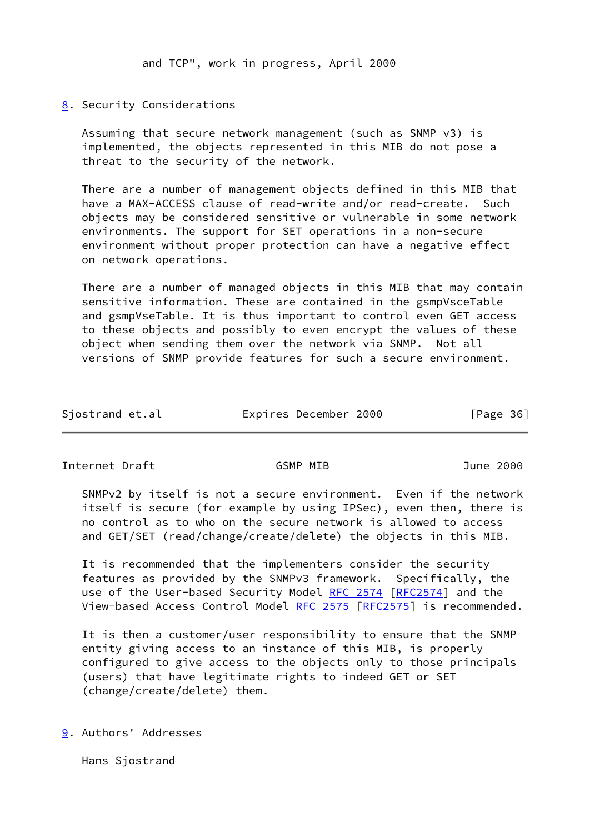and TCP", work in progress, April 2000

# <span id="page-42-0"></span>[8](#page-42-0). Security Considerations

 Assuming that secure network management (such as SNMP v3) is implemented, the objects represented in this MIB do not pose a threat to the security of the network.

 There are a number of management objects defined in this MIB that have a MAX-ACCESS clause of read-write and/or read-create. Such objects may be considered sensitive or vulnerable in some network environments. The support for SET operations in a non-secure environment without proper protection can have a negative effect on network operations.

 There are a number of managed objects in this MIB that may contain sensitive information. These are contained in the gsmpVsceTable and gsmpVseTable. It is thus important to control even GET access to these objects and possibly to even encrypt the values of these object when sending them over the network via SNMP. Not all versions of SNMP provide features for such a secure environment.

| Sjostrand et.al | Expires December 2000 | [Page 36] |
|-----------------|-----------------------|-----------|
|-----------------|-----------------------|-----------|

<span id="page-42-2"></span>Internet Draft GSMP MIB June 2000

 SNMPv2 by itself is not a secure environment. Even if the network itself is secure (for example by using IPSec), even then, there is no control as to who on the secure network is allowed to access and GET/SET (read/change/create/delete) the objects in this MIB.

It is recommended that the implementers consider the security features as provided by the SNMPv3 framework. Specifically, the use of the User-based Security Model [RFC 2574](https://datatracker.ietf.org/doc/pdf/rfc2574) [[RFC2574](https://datatracker.ietf.org/doc/pdf/rfc2574)] and the View-based Access Control Model [RFC 2575](https://datatracker.ietf.org/doc/pdf/rfc2575) [\[RFC2575](https://datatracker.ietf.org/doc/pdf/rfc2575)] is recommended.

 It is then a customer/user responsibility to ensure that the SNMP entity giving access to an instance of this MIB, is properly configured to give access to the objects only to those principals (users) that have legitimate rights to indeed GET or SET (change/create/delete) them.

<span id="page-42-1"></span>[9](#page-42-1). Authors' Addresses

Hans Sjostrand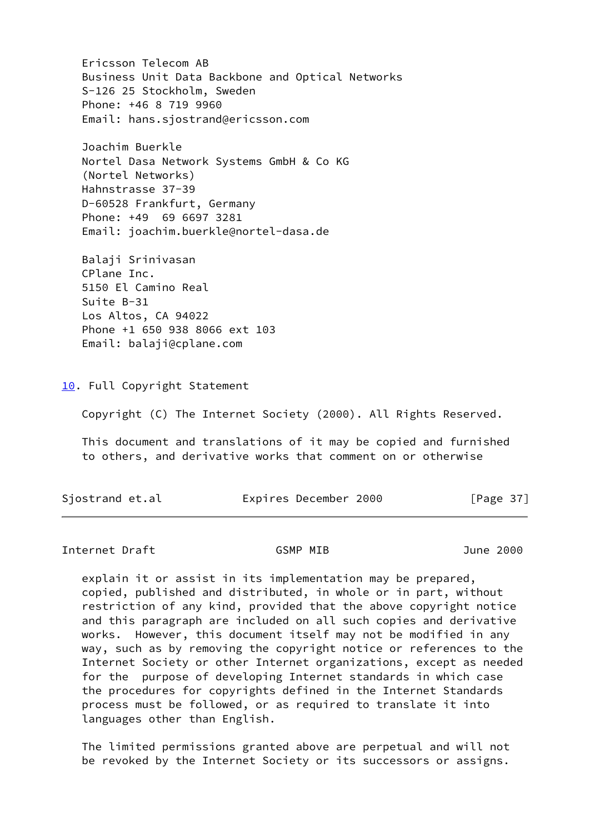Ericsson Telecom AB Business Unit Data Backbone and Optical Networks S-126 25 Stockholm, Sweden Phone: +46 8 719 9960 Email: hans.sjostrand@ericsson.com

 Joachim Buerkle Nortel Dasa Network Systems GmbH & Co KG (Nortel Networks) Hahnstrasse 37-39 D-60528 Frankfurt, Germany Phone: +49 69 6697 3281 Email: joachim.buerkle@nortel-dasa.de

 Balaji Srinivasan CPlane Inc. 5150 El Camino Real Suite B-31 Los Altos, CA 94022 Phone +1 650 938 8066 ext 103 Email: balaji@cplane.com

<span id="page-43-0"></span>[10.](#page-43-0) Full Copyright Statement

Copyright (C) The Internet Society (2000). All Rights Reserved.

 This document and translations of it may be copied and furnished to others, and derivative works that comment on or otherwise

Sjostrand et.al **Expires December 2000** [Page 37]

Internet Draft GSMP MIB June 2000

 explain it or assist in its implementation may be prepared, copied, published and distributed, in whole or in part, without restriction of any kind, provided that the above copyright notice and this paragraph are included on all such copies and derivative works. However, this document itself may not be modified in any way, such as by removing the copyright notice or references to the Internet Society or other Internet organizations, except as needed for the purpose of developing Internet standards in which case the procedures for copyrights defined in the Internet Standards process must be followed, or as required to translate it into languages other than English.

 The limited permissions granted above are perpetual and will not be revoked by the Internet Society or its successors or assigns.